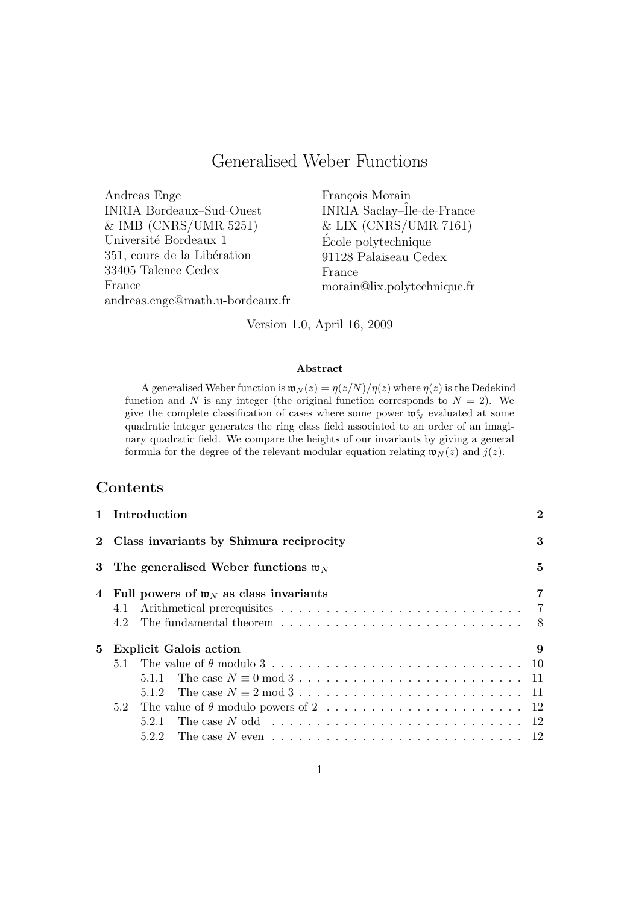# Generalised Weber Functions

Andreas Enge INRIA Bordeaux–Sud-Ouest & IMB (CNRS/UMR 5251) Université Bordeaux 1 351, cours de la Libération 33405 Talence Cedex France andreas.enge@math.u-bordeaux.fr François Morain INRIA Saclay–Ile-de-France & LIX (CNRS/UMR 7161) Ecole polytechnique ´ 91128 Palaiseau Cedex France morain@lix.polytechnique.fr

Version 1.0, April 16, 2009

#### Abstract

A generalised Weber function is  $\mathfrak{w}_N(z) = \eta(z/N)/\eta(z)$  where  $\eta(z)$  is the Dedekind function and N is any integer (the original function corresponds to  $N = 2$ ). We give the complete classification of cases where some power  $\mathfrak{w}_N^e$  evaluated at some quadratic integer generates the ring class field associated to an order of an imaginary quadratic field. We compare the heights of our invariants by giving a general formula for the degree of the relevant modular equation relating  $\mathfrak{w}_N(z)$  and  $j(z)$ .

## Contents

|   | 1 Introduction                                                                                              | $\bf{2}$ |
|---|-------------------------------------------------------------------------------------------------------------|----------|
|   | 2 Class invariants by Shimura reciprocity                                                                   | 3        |
| 3 | The generalised Weber functions $\mathfrak{w}_N$                                                            | 5        |
| 4 | Full powers of $\mathfrak{w}_N$ as class invariants                                                         | 7        |
|   | 4.1                                                                                                         |          |
|   |                                                                                                             |          |
| 5 | <b>Explicit Galois action</b>                                                                               | 9        |
|   |                                                                                                             |          |
|   | 5.1.1                                                                                                       |          |
|   |                                                                                                             |          |
|   |                                                                                                             |          |
|   | The case $N$ odd $\ldots \ldots \ldots \ldots \ldots \ldots \ldots \ldots \ldots \ldots \ldots 12$<br>5.2.1 |          |
|   | 5.2.2                                                                                                       |          |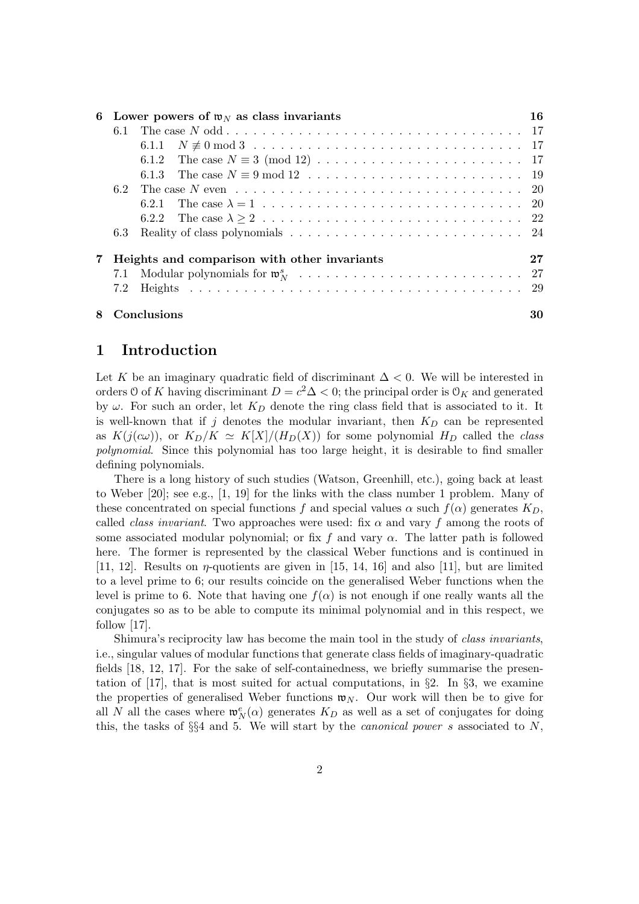| 6           |     | Lower powers of $\mathfrak{w}_N$ as class invariants                                                     |    |  |  |  |  |  |  |  |  |  |
|-------------|-----|----------------------------------------------------------------------------------------------------------|----|--|--|--|--|--|--|--|--|--|
|             |     |                                                                                                          |    |  |  |  |  |  |  |  |  |  |
|             |     |                                                                                                          |    |  |  |  |  |  |  |  |  |  |
|             |     |                                                                                                          |    |  |  |  |  |  |  |  |  |  |
|             |     |                                                                                                          |    |  |  |  |  |  |  |  |  |  |
|             | 6.2 | The case N even $\dots \dots \dots \dots \dots \dots \dots \dots \dots \dots \dots \dots \dots \dots 20$ |    |  |  |  |  |  |  |  |  |  |
|             |     |                                                                                                          |    |  |  |  |  |  |  |  |  |  |
|             |     |                                                                                                          |    |  |  |  |  |  |  |  |  |  |
|             | 6.3 |                                                                                                          |    |  |  |  |  |  |  |  |  |  |
| $7^{\circ}$ |     | Heights and comparison with other invariants                                                             | 27 |  |  |  |  |  |  |  |  |  |
|             |     |                                                                                                          | 27 |  |  |  |  |  |  |  |  |  |
|             | 7.2 |                                                                                                          |    |  |  |  |  |  |  |  |  |  |
| 8           |     | Conclusions                                                                                              | 30 |  |  |  |  |  |  |  |  |  |

## 1 Introduction

Let K be an imaginary quadratic field of discriminant  $\Delta < 0$ . We will be interested in orders 0 of K having discriminant  $D = c^2 \Delta < 0$ ; the principal order is  $\mathcal{O}_K$  and generated by  $\omega$ . For such an order, let  $K_D$  denote the ring class field that is associated to it. It is well-known that if j denotes the modular invariant, then  $K_D$  can be represented as  $K(j(c\omega))$ , or  $K_D/K \simeq K[X]/(H_D(X))$  for some polynomial  $H_D$  called the *class* polynomial. Since this polynomial has too large height, it is desirable to find smaller defining polynomials.

There is a long history of such studies (Watson, Greenhill, etc.), going back at least to Weber [20]; see e.g., [1, 19] for the links with the class number 1 problem. Many of these concentrated on special functions f and special values  $\alpha$  such  $f(\alpha)$  generates  $K_D$ , called *class invariant*. Two approaches were used: fix  $\alpha$  and vary f among the roots of some associated modular polynomial; or fix f and vary  $\alpha$ . The latter path is followed here. The former is represented by the classical Weber functions and is continued in [11, 12]. Results on  $\eta$ -quotients are given in [15, 14, 16] and also [11], but are limited to a level prime to 6; our results coincide on the generalised Weber functions when the level is prime to 6. Note that having one  $f(\alpha)$  is not enough if one really wants all the conjugates so as to be able to compute its minimal polynomial and in this respect, we follow [17].

Shimura's reciprocity law has become the main tool in the study of class invariants, i.e., singular values of modular functions that generate class fields of imaginary-quadratic fields [18, 12, 17]. For the sake of self-containedness, we briefly summarise the presentation of [17], that is most suited for actual computations, in §2. In §3, we examine the properties of generalised Weber functions  $\mathfrak{w}_N$ . Our work will then be to give for all N all the cases where  $\mathfrak{w}_N^e(\alpha)$  generates  $K_D$  as well as a set of conjugates for doing this, the tasks of  $\S$ §4 and 5. We will start by the *canonical power s* associated to N,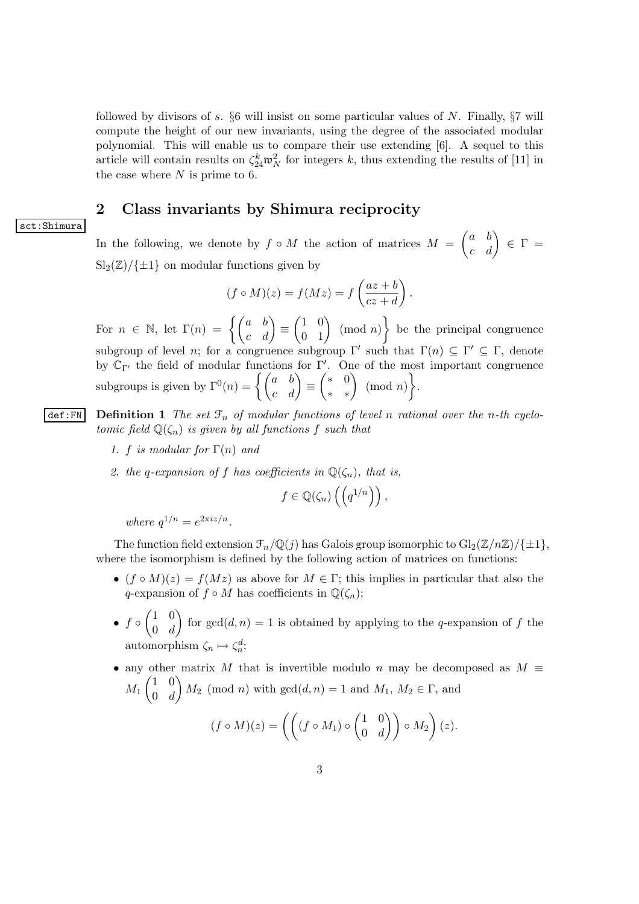followed by divisors of s.  $\S6$  will insist on some particular values of N. Finally,  $\S7$  will compute the height of our new invariants, using the degree of the associated modular polynomial. This will enable us to compare their use extending [6]. A sequel to this article will contain results on  $\zeta_{24}^k \mathfrak{w}_N^2$  for integers k, thus extending the results of [11] in the case where  $N$  is prime to 6.

## 2 Class invariants by Shimura reciprocity

#### sct:Shimura

In the following, we denote by  $f \circ M$  the action of matrices  $M = \begin{pmatrix} a & b \\ c & d \end{pmatrix} \in \Gamma =$  $\text{Sl}_2(\mathbb{Z})/\{\pm 1\}$  on modular functions given by

$$
(f \circ M)(z) = f(Mz) = f\left(\frac{az+b}{cz+d}\right).
$$

For  $n \in \mathbb{N}$ , let  $\Gamma(n) = \begin{cases} \begin{pmatrix} a & b \\ c & d \end{pmatrix} \equiv$  $\begin{pmatrix} 1 & 0 \\ 0 & 1 \end{pmatrix}$  (mod *n*) be the principal congruence subgroup of level *n*; for a congruence subgroup  $\Gamma'$  such that  $\Gamma(n) \subseteq \Gamma' \subseteq \Gamma$ , denote by  $\mathbb{C}_{\Gamma'}$  the field of modular functions for  $\Gamma'$ . One of the most important congruence subgroups is given by  $\Gamma^0(n) = \begin{cases} \begin{pmatrix} a & b \\ c & d \end{pmatrix} \equiv$  $\begin{pmatrix} * & 0 \\ * & * \end{pmatrix}$  (mod *n*)  $\bigg\}$ .

def:FN Definition 1 The set  $\mathcal{F}_n$  of modular functions of level n rational over the n-th cyclotomic field  $\mathbb{Q}(\zeta_n)$  is given by all functions f such that

- 1. f is modular for  $\Gamma(n)$  and
- 2. the q-expansion of f has coefficients in  $\mathbb{Q}(\zeta_n)$ , that is,

$$
f\in\mathbb{Q}(\zeta_n)\left(\left(q^{1/n}\right)\right),\,
$$

where  $q^{1/n} = e^{2\pi i z/n}$ .

The function field extension  $\mathcal{F}_n/\mathbb{Q}(j)$  has Galois group isomorphic to  $\mathrm{Gl}_2(\mathbb{Z}/n\mathbb{Z})/\{\pm 1\}$ , where the isomorphism is defined by the following action of matrices on functions:

- $(f \circ M)(z) = f(Mz)$  as above for  $M \in \Gamma$ ; this implies in particular that also the q-expansion of  $f \circ M$  has coefficients in  $\mathbb{O}(\zeta_n)$ ;
- $f \circ \begin{pmatrix} 1 & 0 \\ 0 & d \end{pmatrix}$  $0 \t d$ for  $gcd(d, n) = 1$  is obtained by applying to the q-expansion of f the automorphism  $\zeta_n \mapsto \zeta_n^d$ ;
- any other matrix M that is invertible modulo n may be decomposed as  $M \equiv$  $M_1\begin{pmatrix} 1 & 0 \\ 0 & d \end{pmatrix}$  $0 \t d$  $M_2 \pmod{n}$  with  $gcd(d, n) = 1$  and  $M_1, M_2 \in \Gamma$ , and

$$
(f \circ M)(z) = \left( \left( (f \circ M_1) \circ \begin{pmatrix} 1 & 0 \\ 0 & d \end{pmatrix} \right) \circ M_2 \right) (z).
$$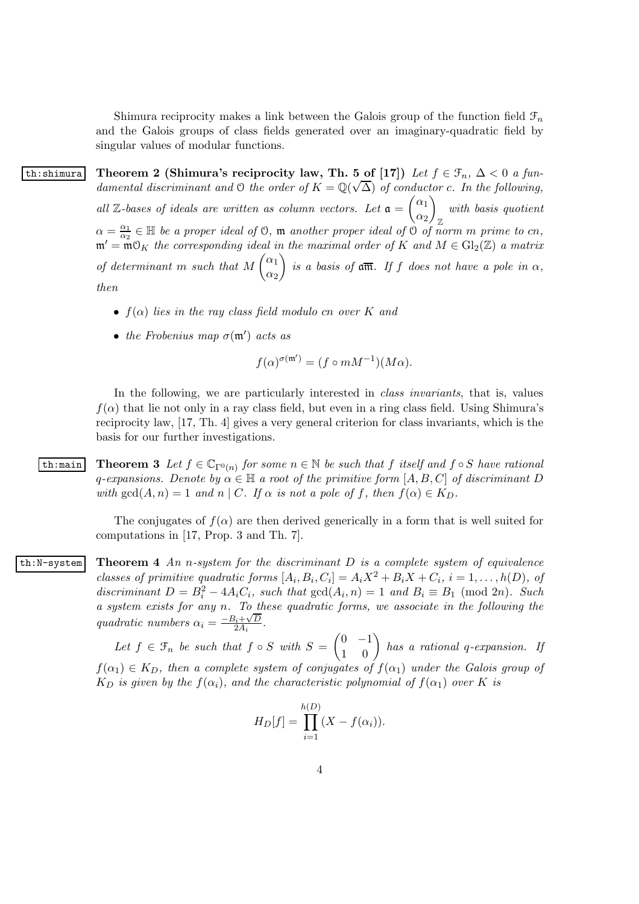Shimura reciprocity makes a link between the Galois group of the function field  $\mathcal{F}_n$ and the Galois groups of class fields generated over an imaginary-quadratic field by singular values of modular functions.

th:shimura Theorem 2 (Shimura's reciprocity law, Th. 5 of [17]) Let  $f \in \mathcal{F}_n$ ,  $\Delta < 0$  a fundamental discriminant and O the order of  $K = \mathbb{Q}(\sqrt{\Delta})$  of conductor c. In the following, all  $\mathbb{Z}$ -bases of ideals are written as column vectors. Let  $\mathfrak{a} = \begin{pmatrix} \alpha_1 \\ \alpha_2 \end{pmatrix}$  $\alpha_2$  $\setminus$ Z with basis quotient  $\alpha = \frac{\alpha_1}{\alpha_2}$  $\frac{\alpha_1}{\alpha_2} \in \mathbb{H}$  be a proper ideal of 0,  $\mathfrak{m}$  another proper ideal of 0 of norm m prime to cn,  $\mathfrak{m}' = \mathfrak{m} \mathfrak{O}_K$  the corresponding ideal in the maximal order of K and  $M \in Gl_2(\mathbb{Z})$  a matrix of determinant m such that  $M\begin{pmatrix} \alpha_1 \\ \vdots \end{pmatrix}$  $\alpha_2$ is a basis of  $\mathfrak{a}\overline{\mathfrak{m}}$ . If f does not have a pole in  $\alpha$ , then

- $f(\alpha)$  lies in the ray class field modulo cn over K and
- the Frobenius map  $\sigma(\mathfrak{m}')$  acts as

$$
f(\alpha)^{\sigma(\mathfrak{m}')} = (f \circ mM^{-1})(M\alpha).
$$

In the following, we are particularly interested in *class invariants*, that is, values  $f(\alpha)$  that lie not only in a ray class field, but even in a ring class field. Using Shimura's reciprocity law, [17, Th. 4] gives a very general criterion for class invariants, which is the basis for our further investigations.

th:main Theorem 3 Let  $f \in \mathbb{C}_{\Gamma^{0}(n)}$  for some  $n \in \mathbb{N}$  be such that f itself and  $f \circ S$  have rational q-expansions. Denote by  $\alpha \in \mathbb{H}$  a root of the primitive form  $[A, B, C]$  of discriminant D with  $gcd(A, n) = 1$  and n | C. If  $\alpha$  is not a pole of f, then  $f(\alpha) \in K_D$ .

> The conjugates of  $f(\alpha)$  are then derived generically in a form that is well suited for computations in [17, Prop. 3 and Th. 7].

th:N-system Theorem 4 An n-system for the discriminant  $D$  is a complete system of equivalence classes of primitive quadratic forms  $[A_i, B_i, C_i] = A_i X^2 + B_i X + C_i$ ,  $i = 1, ..., h(D)$ , of discriminant  $D = B_i^2 - 4A_iC_i$ , such that  $gcd(A_i, n) = 1$  and  $B_i \equiv B_1 \pmod{2n}$ . Such a system exists for any n. To these quadratic forms, we associate in the following the quadratic numbers  $\alpha_i = \frac{-B_i + \sqrt{D}}{2A_i}$  $\frac{5_i + \sqrt{D}}{2A_i}$ .

> Let  $f \in \mathcal{F}_n$  be such that  $f \circ S$  with  $S = \begin{pmatrix} 0 & -1 \\ 1 & 0 \end{pmatrix}$  has a rational q-expansion. If  $f(\alpha_1) \in K_D$ , then a complete system of conjugates of  $f(\alpha_1)$  under the Galois group of  $K_D$  is given by the  $f(\alpha_i)$ , and the characteristic polynomial of  $f(\alpha_1)$  over K is

$$
H_D[f] = \prod_{i=1}^{h(D)} (X - f(\alpha_i)).
$$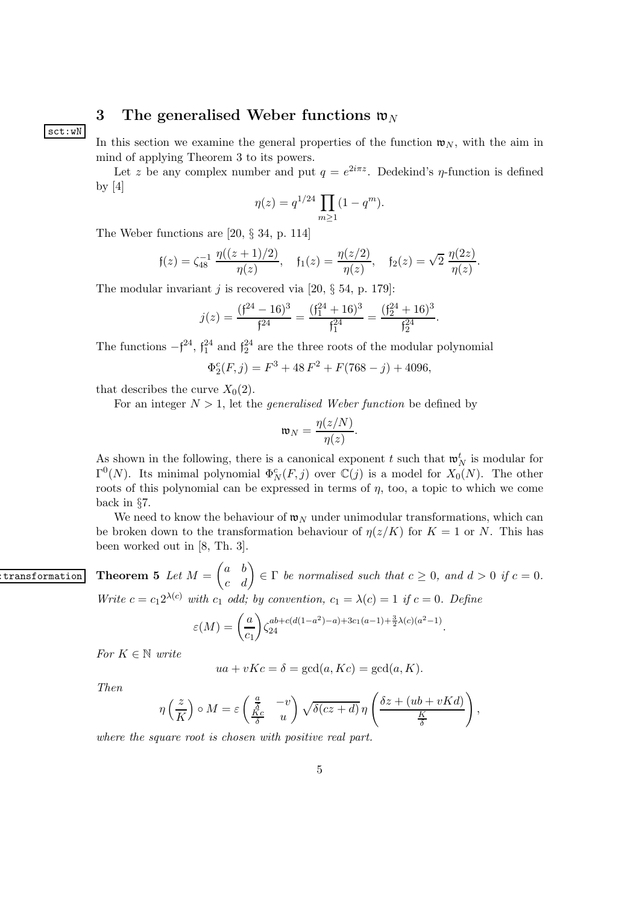# 3 The generalised Weber functions  $\mathfrak{w}_N$

sct:wN

In this section we examine the general properties of the function  $\mathfrak{w}_N$ , with the aim in mind of applying Theorem 3 to its powers.

Let z be any complex number and put  $q = e^{2i\pi z}$ . Dedekind's *η*-function is defined by  $[4]$ 

$$
\eta(z) = q^{1/24} \prod_{m \ge 1} (1 - q^m).
$$

The Weber functions are [20, § 34, p. 114]

$$
\mathfrak{f}(z) = \zeta_{48}^{-1} \frac{\eta((z+1)/2)}{\eta(z)}, \quad \mathfrak{f}_1(z) = \frac{\eta(z/2)}{\eta(z)}, \quad \mathfrak{f}_2(z) = \sqrt{2} \frac{\eta(2z)}{\eta(z)}.
$$

The modular invariant *i* is recovered via [20,  $\S$  54, p. 179]:

$$
j(z) = \frac{(f^{24} - 16)^3}{f^{24}} = \frac{(f_1^{24} + 16)^3}{f_1^{24}} = \frac{(f_2^{24} + 16)^3}{f_2^{24}}
$$

.

The functions  $-f^{24}$ ,  $f_1^{24}$  and  $f_2^{24}$  are the three roots of the modular polynomial

$$
\Phi_2^c(F,j) = F^3 + 48 F^2 + F(768 - j) + 4096,
$$

that describes the curve  $X_0(2)$ .

For an integer  $N > 1$ , let the *generalised Weber function* be defined by

$$
\mathfrak{w}_N = \frac{\eta(z/N)}{\eta(z)}.
$$

As shown in the following, there is a canonical exponent t such that  $\mathfrak{w}_N^t$  is modular for  $\Gamma^0(N)$ . Its minimal polynomial  $\Phi_N^c(F, j)$  over  $\mathbb{C}(j)$  is a model for  $X_0(N)$ . The other roots of this polynomial can be expressed in terms of  $\eta$ , too, a topic to which we come back in §7.

We need to know the behaviour of  $\mathfrak{w}_N$  under unimodular transformations, which can be broken down to the transformation behaviour of  $\eta(z/K)$  for  $K = 1$  or N. This has been worked out in [8, Th. 3].

 $\begin{array}{ll} \hbox{\tt \texttt{transformation}} \end{array} \textbf{ Theorem 5 } \textit{Let } M = \begin{pmatrix} a & b \ c & d \end{pmatrix} \in \Gamma \textit{ be normalised such that } c \geq 0, \textit{ and } d > 0 \textit{ if } c = 0. \end{array}$ Write  $c = c_1 2^{\lambda(c)}$  with  $c_1$  odd; by convention,  $c_1 = \lambda(c) = 1$  if  $c = 0$ . Define

$$
\varepsilon(M) = \left(\frac{a}{c_1}\right) \zeta_{24}^{ab+c(d(1-a^2)-a)+3c_1(a-1)+\frac{3}{2}\lambda(c)(a^2-1)}.
$$

For  $K \in \mathbb{N}$  write

$$
ua + vKc = \delta = \gcd(a, Kc) = \gcd(a, K).
$$

Then

$$
\eta\left(\frac{z}{K}\right) \circ M = \varepsilon \left(\frac{\frac{a}{\delta}}{\frac{Kc}{\delta}} - \frac{-v}{u}\right) \sqrt{\delta(cz+d)} \eta\left(\frac{\delta z + (ub + vKd)}{\frac{K}{\delta}}\right),\,
$$

where the square root is chosen with positive real part.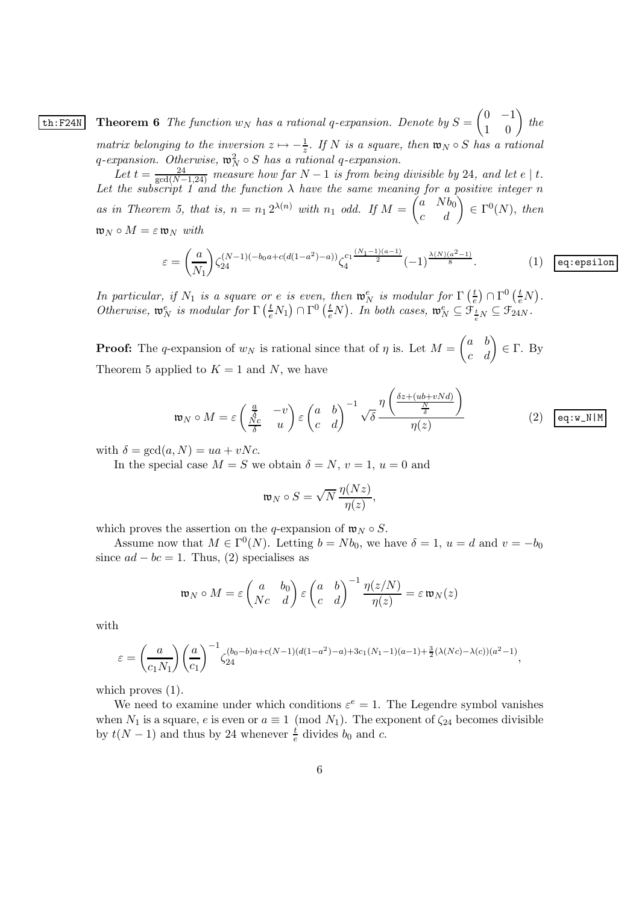**th:F24N** Theorem 6 The function  $w_N$  has a rational q-expansion. Denote by  $S = \begin{pmatrix} 0 & -1 \\ 1 & 0 \end{pmatrix}$  the matrix belonging to the inversion  $z \mapsto -\frac{1}{z}$ . If N is a square, then  $\mathfrak{w}_N \circ S$  has a rational q-expansion. Otherwise,  $\mathfrak{w}_N^2 \circ S$  has a rational q-expansion.

Let  $t = \frac{24}{\gcd(N-1,24)}$  measure how far  $N-1$  is from being divisible by 24, and let  $e \mid t$ .<br>Let the subscript 1 and the function  $\lambda$  have the same meaning for a positive integer n as in Theorem 5, that is,  $n = n_1 2^{\lambda(n)}$  with  $n_1$  odd. If  $M = \begin{pmatrix} a & Nb_0 \ c & d \end{pmatrix} \in \Gamma^0(N)$ , then  $\mathfrak{w}_N \circ M = \varepsilon \mathfrak{w}_N$  with

$$
\varepsilon = \left(\frac{a}{N_1}\right) \zeta_{24}^{(N-1)(-b_0a + c(d(1-a^2)-a))} \zeta_4^{c_1\frac{(N_1-1)(a-1)}{2}} (-1)^{\frac{\lambda(N)(a^2-1)}{8}}.
$$
 (1) eq:epsilon

In particular, if  $N_1$  is a square or e is even, then  $\mathfrak{w}_N^e$  is modular for  $\Gamma\left(\frac{t}{e}\right)$  $\frac{t}{e}$ )  $\cap \Gamma^0\left(\frac{t}{e}N\right)$ . Otherwise,  $\mathfrak{w}_N^e$  is modular for  $\Gamma\left(\frac{t}{e}N_1\right) \cap \Gamma^0\left(\frac{t}{e}N\right)$ . In both cases,  $\mathfrak{w}_N^e \subseteq \mathfrak{F}_{\frac{t}{e}N} \subseteq \mathfrak{F}_{24N}$ .

**Proof:** The q-expansion of  $w_N$  is rational since that of  $\eta$  is. Let  $M = \begin{pmatrix} a & b \\ c & d \end{pmatrix} \in \Gamma$ . By Theorem 5 applied to  $K = 1$  and N, we have

$$
\mathfrak{w}_N \circ M = \varepsilon \begin{pmatrix} \frac{a}{\delta} & -v \\ \frac{Nc}{\delta} & u \end{pmatrix} \varepsilon \begin{pmatrix} a & b \\ c & d \end{pmatrix}^{-1} \sqrt{\delta} \frac{\eta \left( \frac{\delta z + (ub + vNd)}{\frac{N}{\delta}} \right)}{\eta(z)}
$$
(2)  $\boxed{\text{eq:w\_N|M}}$ 

with  $\delta = \gcd(a, N) = ua + vNc$ .

In the special case  $M = S$  we obtain  $\delta = N$ ,  $v = 1$ ,  $u = 0$  and

$$
\mathfrak{w}_N \circ S = \sqrt{N} \, \frac{\eta(Nz)}{\eta(z)},
$$

which proves the assertion on the q-expansion of  $\mathfrak{w}_N \circ S$ .

Assume now that  $M \in \Gamma^0(N)$ . Letting  $b = Nb_0$ , we have  $\delta = 1$ ,  $u = d$  and  $v = -b_0$ since  $ad - bc = 1$ . Thus, (2) specialises as

$$
\mathfrak{w}_N \circ M = \varepsilon \begin{pmatrix} a & b_0 \\ Nc & d \end{pmatrix} \varepsilon \begin{pmatrix} a & b \\ c & d \end{pmatrix}^{-1} \frac{\eta(z/N)}{\eta(z)} = \varepsilon \mathfrak{w}_N(z)
$$

with

$$
\varepsilon = \left(\frac{a}{c_1 N_1}\right) \left(\frac{a}{c_1}\right)^{-1} \zeta_{24}^{(b_0 - b)a + c(N-1)(d(1-a^2) - a) + 3c_1(N_1 - 1)(a-1) + \frac{3}{2}(\lambda(Nc) - \lambda(c))(a^2 - 1)},
$$

which proves  $(1)$ .

We need to examine under which conditions  $\varepsilon^e = 1$ . The Legendre symbol vanishes when  $N_1$  is a square, e is even or  $a \equiv 1 \pmod{N_1}$ . The exponent of  $\zeta_{24}$  becomes divisible by  $t(N-1)$  and thus by 24 whenever  $\frac{t}{e}$  divides  $b_0$  and  $c$ .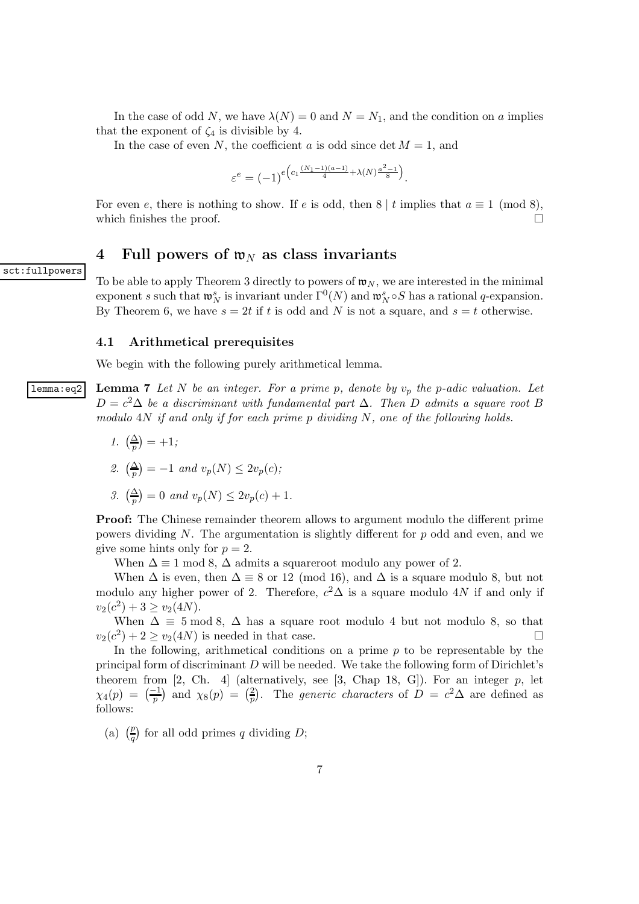In the case of odd N, we have  $\lambda(N) = 0$  and  $N = N_1$ , and the condition on a implies that the exponent of  $\zeta_4$  is divisible by 4.

In the case of even N, the coefficient a is odd since det  $M = 1$ , and

$$
\varepsilon^e = (-1)^e \Big( \frac{c_1 \frac{(N_1 - 1)(a - 1)}{4} + \lambda(N) \frac{a^2 - 1}{8}}{1} \Big).
$$

For even e, there is nothing to show. If e is odd, then  $8 \mid t$  implies that  $a \equiv 1 \pmod{8}$ , which finishes the proof.

## 4 Full powers of  $w_N$  as class invariants

sct:fullpowers

To be able to apply Theorem 3 directly to powers of  $\mathfrak{w}_N$ , we are interested in the minimal exponent s such that  $\mathfrak{w}_N^s$  is invariant under  $\Gamma^0(N)$  and  $\mathfrak{w}_N^s \circ S$  has a rational q-expansion. By Theorem 6, we have  $s = 2t$  if t is odd and N is not a square, and  $s = t$  otherwise.

#### 4.1 Arithmetical prerequisites

We begin with the following purely arithmetical lemma.

**lemma:eq2** Lemma 7 Let N be an integer. For a prime p, denote by  $v_p$  the p-adic valuation. Let  $D = c^2 \Delta$  be a discriminant with fundamental part  $\Delta$ . Then D admits a square root B modulo 4N if and only if for each prime p dividing N, one of the following holds.

1.  $\left(\frac{\Delta}{p}\right) = +1;$ 

2. 
$$
\left(\frac{\Delta}{p}\right) = -1
$$
 and  $v_p(N) \le 2v_p(c)$ ;

3. 
$$
\left(\frac{\Delta}{p}\right) = 0 \text{ and } v_p(N) \le 2v_p(c) + 1.
$$

Proof: The Chinese remainder theorem allows to argument modulo the different prime powers dividing  $N$ . The argumentation is slightly different for  $p$  odd and even, and we give some hints only for  $p = 2$ .

When  $\Delta \equiv 1 \mod 8$ ,  $\Delta$  admits a squareroot modulo any power of 2.

When  $\Delta$  is even, then  $\Delta \equiv 8$  or 12 (mod 16), and  $\Delta$  is a square modulo 8, but not modulo any higher power of 2. Therefore,  $c^2\Delta$  is a square modulo 4N if and only if  $v_2(c^2) + 3 \ge v_2(4N).$ 

When  $\Delta \equiv 5 \mod 8$ ,  $\Delta$  has a square root modulo 4 but not modulo 8, so that  $c^2$ ) + 2 >  $v_2(4N)$  is needed in that case.  $v_2(c^2) + 2 \ge v_2(4N)$  is needed in that case.

In the following, arithmetical conditions on a prime  $p$  to be representable by the principal form of discriminant  $D$  will be needed. We take the following form of Dirichlet's theorem from [2, Ch. 4] (alternatively, see [3, Chap 18, G]). For an integer  $p$ , let  $\chi_4(p) = \left(\frac{-1}{p}\right)$  and  $\chi_8(p) = \left(\frac{2}{p}\right)$  $\frac{2}{p}$ ). The *generic characters* of  $D = c^2 \Delta$  are defined as follows:

(a)  $\left(\frac{p}{q}\right)$  for all odd primes q dividing D;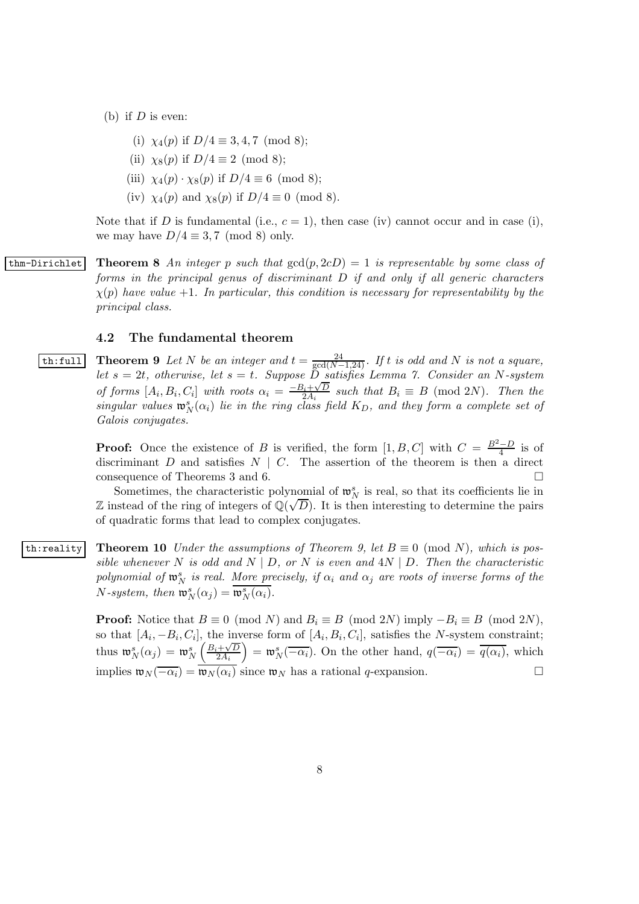- (b) if  $D$  is even:
	- (i)  $\chi_4(p)$  if  $D/4 \equiv 3, 4, 7 \pmod{8}$ ;
	- (ii)  $\chi_8(p)$  if  $D/4 \equiv 2 \pmod{8}$ ;
	- (iii)  $\chi_4(p) \cdot \chi_8(p)$  if  $D/4 \equiv 6 \pmod{8}$ ;
	- (iv)  $\chi_4(p)$  and  $\chi_8(p)$  if  $D/4 \equiv 0 \pmod{8}$ .

Note that if D is fundamental (i.e.,  $c = 1$ ), then case (iv) cannot occur and in case (i), we may have  $D/4 \equiv 3, 7 \pmod{8}$  only.

thm-Dirichlet Theorem 8 An integer p such that  $gcd(p, 2cD) = 1$  is representable by some class of forms in the principal genus of discriminant D if and only if all generic characters  $\chi(p)$  have value  $+1$ . In particular, this condition is necessary for representability by the principal class.

#### 4.2 The fundamental theorem

**th:full** Theorem 9 Let N be an integer and  $t = \frac{24}{gcd(N-1,24)}$ . If t is odd and N is not a square, let s = 2t, otherwise, let s = t. Suppose D satisfies Lemma 7. Consider an N-system of forms  $[A_i, B_i, C_i]$  with roots  $\alpha_i = \frac{-B_i + \sqrt{D}}{2A_i}$  $\frac{a_i + \sqrt{D}}{2A_i}$  such that  $B_i \equiv B \pmod{2N}$ . Then the singular values  $\mathfrak{w}_N^s(\alpha_i)$  lie in the ring class field  $K_D$ , and they form a complete set of Galois conjugates.

> **Proof:** Once the existence of B is verified, the form  $[1, B, C]$  with  $C = \frac{B^2 - D}{4}$  is of discriminant D and satisfies  $N \mid C$ . The assertion of the theorem is then a direct consequence of Theorems 3 and 6 consequence of Theorems 3 and 6.

> Sometimes, the characteristic polynomial of  $\mathfrak{w}_N^s$  is real, so that its coefficients lie in  $\mathbb Z$  instead of the ring of integers of  $\mathbb Q(\sqrt{D})$ . It is then interesting to determine the pairs of quadratic forms that lead to complex conjugates.

th:reality Theorem 10 Under the assumptions of Theorem 9, let  $B \equiv 0 \pmod{N}$ , which is possible whenever N is odd and N | D, or N is even and  $4N \mid D$ . Then the characteristic polynomial of  $\mathfrak{w}_N^s$  is real. <u>More pr</u>ecisely, if  $\alpha_i$  and  $\alpha_j$  are roots of inverse forms of the  $N$ -system, then  $\mathfrak{w}_N^s(\alpha_j) = \overline{\mathfrak{w}_N^s(\alpha_i)}$ .

> **Proof:** Notice that  $B \equiv 0 \pmod{N}$  and  $B_i \equiv B \pmod{2N}$  imply  $-B_i \equiv B \pmod{2N}$ , so that  $[A_i, -B_i, C_i]$ , the inverse form of  $[A_i, B_i, C_i]$ , satisfies the N-system constraint; thus  $\mathfrak{w}_{N}^{s}(\alpha_j) = \mathfrak{w}_{N}^{s}\left(\frac{B_i + \sqrt{D}}{2A_i}\right)$  $\left(\frac{\partial+\sqrt{D}}{\partial a_i}\right) = \mathfrak{w}_N^s(-\overline{\alpha_i})$ . On the other hand,  $q(-\overline{\alpha_i}) = \overline{q(\alpha_i)}$ , which implies  $\mathfrak{w}_N(-\overline{\alpha_i}) = \overline{\mathfrak{w}_N(\alpha_i)}$  since  $\mathfrak{w}_N$  has a rational q-expansion.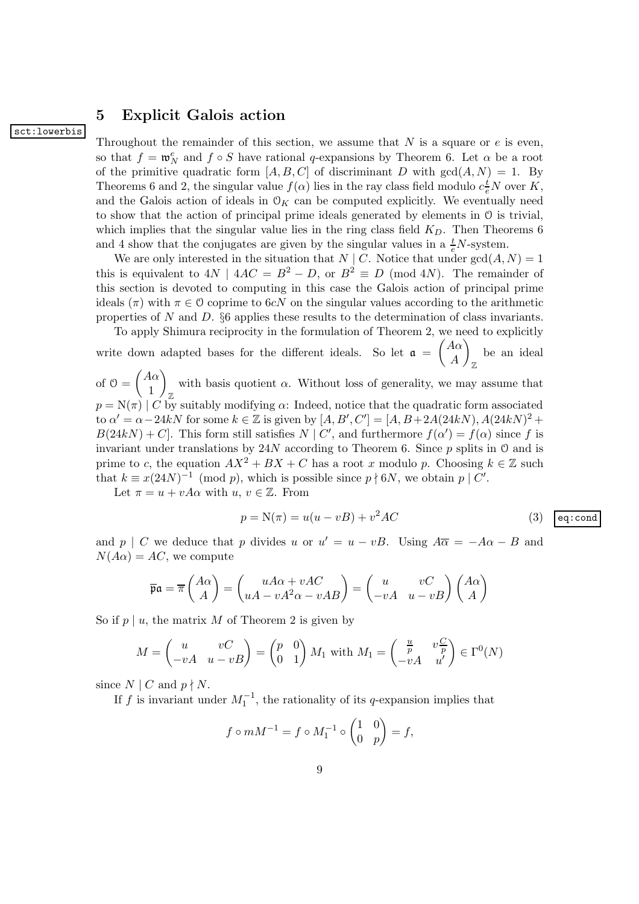## 5 Explicit Galois action

#### sct:lowerbis

Throughout the remainder of this section, we assume that  $N$  is a square or  $e$  is even, so that  $f = \mathfrak{w}_N^e$  and  $f \circ S$  have rational q-expansions by Theorem 6. Let  $\alpha$  be a root of the primitive quadratic form  $[A, B, C]$  of discriminant D with  $gcd(A, N) = 1$ . By Theorems 6 and 2, the singular value  $f(\alpha)$  lies in the ray class field modulo  $c_e^t N$  over K, and the Galois action of ideals in  $\mathcal{O}_K$  can be computed explicitly. We eventually need to show that the action of principal prime ideals generated by elements in O is trivial, which implies that the singular value lies in the ring class field  $K<sub>D</sub>$ . Then Theorems 6 and 4 show that the conjugates are given by the singular values in a  $\frac{t}{e}N$ -system.

We are only interested in the situation that  $N \mid C$ . Notice that under  $gcd(A, N) = 1$ this is equivalent to  $4N \mid 4AC = B^2 - D$ , or  $B^2 \equiv D \pmod{4N}$ . The remainder of this section is devoted to computing in this case the Galois action of principal prime ideals  $(\pi)$  with  $\pi \in \mathcal{O}$  coprime to 6cN on the singular values according to the arithmetic properties of N and D.  $\S6$  applies these results to the determination of class invariants.

To apply Shimura reciprocity in the formulation of Theorem 2, we need to explicitly

write down adapted bases for the different ideals. So let  $a = \begin{pmatrix} A\alpha \\ 4 \end{pmatrix}$ A  $\setminus$ Z be an ideal of  $\vartheta = \begin{pmatrix} A\alpha \\ 1 \end{pmatrix}$ 1  $\setminus$ Z with basis quotient  $\alpha$ . Without loss of generality, we may assume that  $p = N(\pi)$  | C by suitably modifying  $\alpha$ : Indeed, notice that the quadratic form associated

to  $\alpha' = \alpha - 24kN$  for some  $k \in \mathbb{Z}$  is given by  $[A, B', C'] = [A, B + 2A(24kN), A(24kN)^2 +$  $B(24kN) + C$ . This form still satisfies  $N \mid C'$ , and furthermore  $f(\alpha') = f(\alpha)$  since f is invariant under translations by  $24N$  according to Theorem 6. Since p splits in  $\mathcal O$  and is prime to c, the equation  $AX^2 + BX + C$  has a root x modulo p. Choosing  $k \in \mathbb{Z}$  such that  $k \equiv x(24N)^{-1} \pmod{p}$ , which is possible since  $p \nmid 6N$ , we obtain  $p \mid C'$ .

Let  $\pi = u + vA\alpha$  with  $u, v \in \mathbb{Z}$ . From

$$
p = N(\pi) = u(u - vB) + v^2AC
$$
 (3)  $\boxed{\text{eq:cond}}$ 

and  $p \mid C$  we deduce that p divides u or  $u' = u - vB$ . Using  $A\overline{\alpha} = -A\alpha - B$  and  $N(A\alpha) = AC$ , we compute

$$
\overline{\mathfrak{pa}} = \overline{\pi} \begin{pmatrix} A\alpha \\ A \end{pmatrix} = \begin{pmatrix} uA\alpha + vAC \\ uA - vA^2\alpha - vAB \end{pmatrix} = \begin{pmatrix} u & vC \\ -vA & u - vB \end{pmatrix} \begin{pmatrix} A\alpha \\ A \end{pmatrix}
$$

So if  $p \mid u$ , the matrix M of Theorem 2 is given by

$$
M = \begin{pmatrix} u & vC \\ -vA & u - vB \end{pmatrix} = \begin{pmatrix} p & 0 \\ 0 & 1 \end{pmatrix} M_1 \text{ with } M_1 = \begin{pmatrix} \frac{u}{p} & v\frac{C}{p} \\ -vA & u' \end{pmatrix} \in \Gamma^0(N)
$$

since  $N \mid C$  and  $p \nmid N$ .

If f is invariant under  $M_1^{-1}$ , the rationality of its q-expansion implies that

$$
f \circ mM^{-1} = f \circ M_1^{-1} \circ \begin{pmatrix} 1 & 0 \\ 0 & p \end{pmatrix} = f,
$$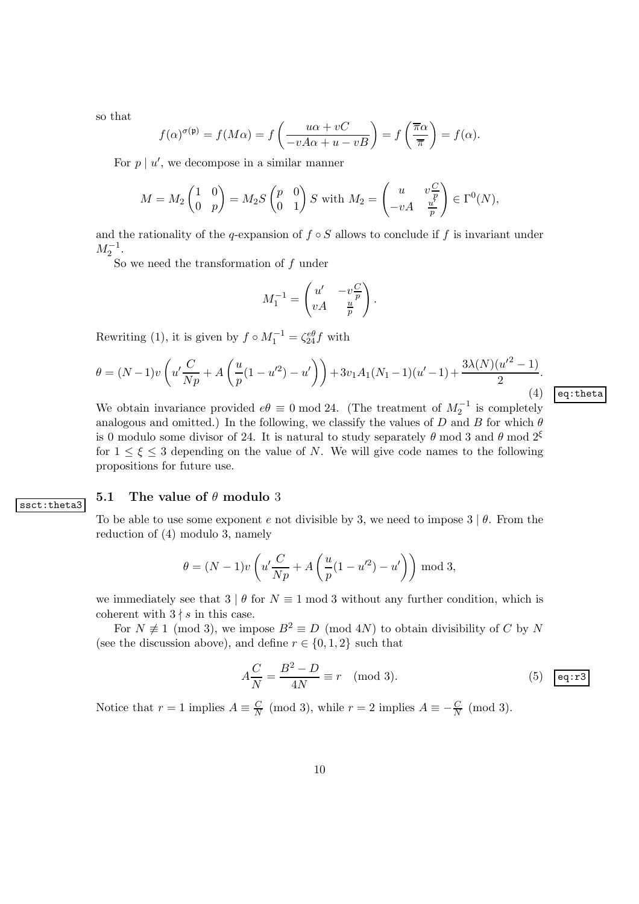so that

$$
f(\alpha)^{\sigma(\mathfrak{p})} = f(M\alpha) = f\left(\frac{u\alpha + vC}{-vA\alpha + u - vB}\right) = f\left(\frac{\overline{\pi}\alpha}{\overline{\pi}}\right) = f(\alpha).
$$

For  $p \mid u'$ , we decompose in a similar manner

$$
M = M_2 \begin{pmatrix} 1 & 0 \\ 0 & p \end{pmatrix} = M_2 S \begin{pmatrix} p & 0 \\ 0 & 1 \end{pmatrix} S \text{ with } M_2 = \begin{pmatrix} u & v \frac{C}{p} \\ -vA & \frac{u'}{p} \end{pmatrix} \in \Gamma^0(N),
$$

and the rationality of the q-expansion of  $f \circ S$  allows to conclude if f is invariant under  $M_2^{-1}$ .

So we need the transformation of  $f$  under

$$
M_1^{-1} = \begin{pmatrix} u' & -v\frac{C}{p} \\ vA & \frac{u}{p} \end{pmatrix}.
$$

Rewriting (1), it is given by  $f \circ M_1^{-1} = \zeta_{24}^{e\theta} f$  with

$$
\theta = (N-1)v\left(u'\frac{C}{Np} + A\left(\frac{u}{p}(1-u'^2) - u'\right)\right) + 3v_1A_1(N_1-1)(u'-1) + \frac{3\lambda(N)(u'^2-1)}{2}.
$$
\n(4)

We obtain invariance provided  $e\theta \equiv 0 \mod 24$ . (The treatment of  $M_2^{-1}$  is completely analogous and omitted.) In the following, we classify the values of D and B for which  $\theta$ is 0 modulo some divisor of 24. It is natural to study separately  $\theta$  mod 3 and  $\theta$  mod 2<sup> $\xi$ </sup> for  $1 \leq \xi \leq 3$  depending on the value of N. We will give code names to the following propositions for future use.

#### 5.1 The value of  $\theta$  modulo 3

ssct:theta3

To be able to use some exponent e not divisible by 3, we need to impose  $3 \mid \theta$ . From the reduction of (4) modulo 3, namely

$$
\theta = (N-1)v\left(u'\frac{C}{Np} + A\left(\frac{u}{p}(1-u'^2) - u'\right)\right) \mod 3,
$$

we immediately see that  $3 | \theta$  for  $N \equiv 1 \text{ mod } 3$  without any further condition, which is coherent with  $3 \nmid s$  in this case.

For  $N \neq 1 \pmod{3}$ , we impose  $B^2 \equiv D \pmod{4N}$  to obtain divisibility of C by N (see the discussion above), and define  $r \in \{0, 1, 2\}$  such that

$$
A\frac{C}{N} = \frac{B^2 - D}{4N} \equiv r \pmod{3}.
$$
 (5)  $\boxed{\text{eq: r3}}$ 

Notice that  $r = 1$  implies  $A \equiv \frac{C}{N}$  $\frac{C}{N}$  (mod 3), while  $r = 2$  implies  $A \equiv -\frac{C}{N}$  (mod 3). eq:theta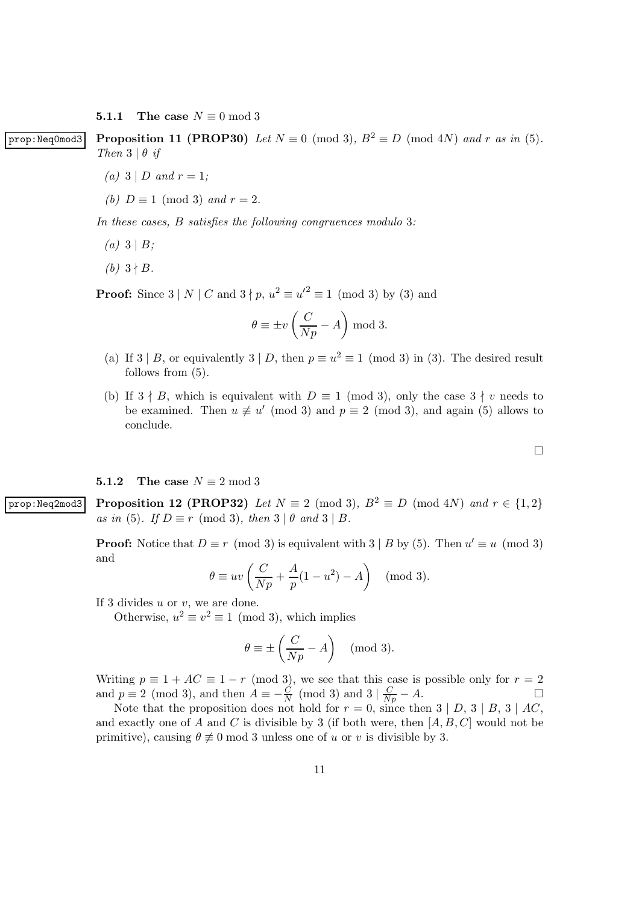5.1.1 The case  $N \equiv 0 \mod 3$ 

prop:Neq0mod3 Proposition 11 (PROP30) Let  $N \equiv 0 \pmod{3}$ ,  $B^2 \equiv D \pmod{4N}$  and r as in (5). Then  $3 \mid \theta \text{ if}$ 

- (a)  $3 | D$  and  $r = 1$ ;
- (b)  $D \equiv 1 \pmod{3}$  and  $r = 2$ .

In these cases, B satisfies the following congruences modulo 3:

- (a)  $3 | B;$
- (b)  $3 \nmid B$ .

**Proof:** Since  $3 | N | C$  and  $3 \nmid p$ ,  $u^2 \equiv u'^2 \equiv 1 \pmod{3}$  by (3) and

$$
\theta \equiv \pm v \left( \frac{C}{Np} - A \right) \bmod 3.
$$

- (a) If  $3 | B$ , or equivalently  $3 | D$ , then  $p \equiv u^2 \equiv 1 \pmod{3}$  in (3). The desired result follows from  $(5)$ .
- (b) If  $3 \nmid B$ , which is equivalent with  $D \equiv 1 \pmod{3}$ , only the case  $3 \nmid v$  needs to be examined. Then  $u \not\equiv u' \pmod{3}$  and  $p \equiv 2 \pmod{3}$ , and again (5) allows to conclude.

#### **5.1.2** The case  $N \equiv 2 \mod 3$

prop:Neq2mod3 Proposition 12 (PROP32) Let  $N \equiv 2 \pmod{3}$ ,  $B^2 \equiv D \pmod{4N}$  and  $r \in \{1,2\}$ as in (5). If  $D \equiv r \pmod{3}$ , then  $3 | \theta$  and  $3 | B$ .

> **Proof:** Notice that  $D \equiv r \pmod{3}$  is equivalent with  $3 | B$  by (5). Then  $u' \equiv u \pmod{3}$ and

$$
\theta \equiv uv \left( \frac{C}{Np} + \frac{A}{p} (1 - u^2) - A \right) \pmod{3}.
$$

If 3 divides  $u$  or  $v$ , we are done.

Otherwise,  $u^2 \equiv v^2 \equiv 1 \pmod{3}$ , which implies

$$
\theta \equiv \pm \left( \frac{C}{Np} - A \right) \pmod{3}.
$$

Writing  $p \equiv 1 + AC \equiv 1 - r \pmod{3}$ , we see that this case is possible only for  $r = 2$  and  $p \equiv 2 \pmod{3}$ , and then  $A \equiv -\frac{C}{2} \pmod{3}$  and  $3 | \pmod{3} = A$ . and  $p \equiv 2 \pmod{3}$ , and then  $A \equiv -\frac{C}{N} \pmod{3}$  and  $3 | \frac{C}{Np} - A$ .

Note that the proposition does not hold for  $r = 0$ , since then  $3 | D, 3 | B, 3 | AC$ , and exactly one of A and C is divisible by 3 (if both were, then  $[A, B, C]$  would not be primitive), causing  $\theta \neq 0$  mod 3 unless one of u or v is divisible by 3.

 $\Box$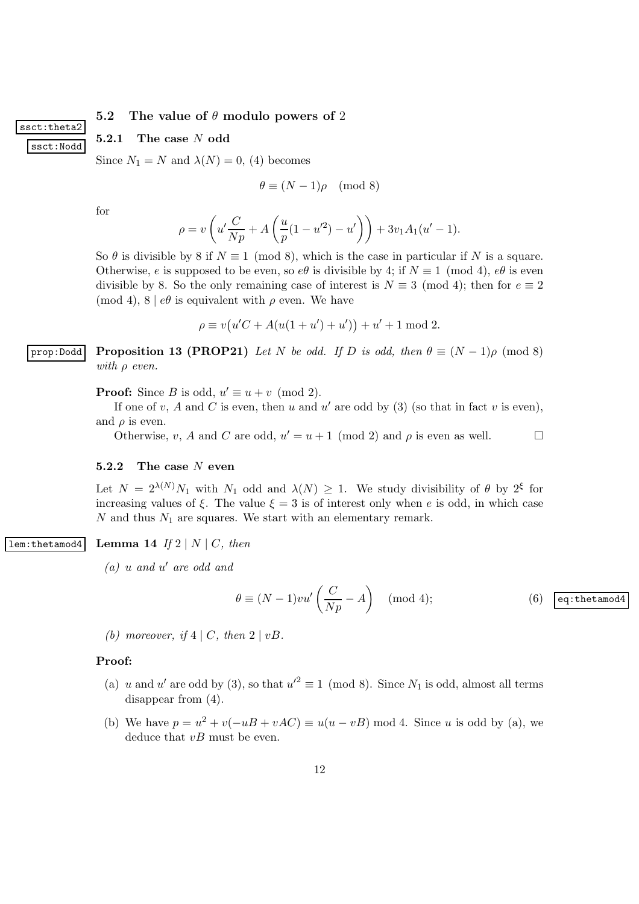### 5.2 The value of  $\theta$  modulo powers of 2

#### 5.2.1 The case N odd

Since  $N_1 = N$  and  $\lambda(N) = 0$ , (4) becomes

$$
\theta \equiv (N-1)\rho \pmod{8}
$$

for

ssct:theta2

ssct:Nodd

$$
\rho = v \left( u' \frac{C}{Np} + A \left( \frac{u}{p} (1 - u'^2) - u' \right) \right) + 3v_1 A_1 (u' - 1).
$$

So  $\theta$  is divisible by 8 if  $N \equiv 1 \pmod{8}$ , which is the case in particular if N is a square. Otherwise, e is supposed to be even, so  $e\theta$  is divisible by 4; if  $N \equiv 1 \pmod{4}$ ,  $e\theta$  is even divisible by 8. So the only remaining case of interest is  $N \equiv 3 \pmod{4}$ ; then for  $e \equiv 2$ (mod 4),  $8 \mid e\theta$  is equivalent with  $\rho$  even. We have

$$
\rho \equiv v(u'C + A(u(1+u') + u')) + u' + 1 \bmod 2.
$$

prop:Dodd Proposition 13 (PROP21) Let N be odd. If D is odd, then  $\theta \equiv (N-1)\rho \pmod{8}$ with  $\rho$  even.

**Proof:** Since B is odd,  $u' \equiv u + v \pmod{2}$ .

If one of v, A and C is even, then u and u' are odd by  $(3)$  (so that in fact v is even), and  $\rho$  is even.

Otherwise, v, A and C are odd,  $u' = u + 1 \pmod{2}$  and  $\rho$  is even as well.

#### 5.2.2 The case N even

Let  $N = 2^{\lambda(N)} N_1$  with  $N_1$  odd and  $\lambda(N) \geq 1$ . We study divisibility of  $\theta$  by  $2^{\xi}$  for increasing values of  $\xi$ . The value  $\xi = 3$  is of interest only when e is odd, in which case  $N$  and thus  $N_1$  are squares. We start with an elementary remark.

### lem:thetamod4 Lemma 14 If  $2 | N | C$ , then

 $(a)$  u and u' are odd and

$$
\theta \equiv (N-1)v u' \left(\frac{C}{Np} - A\right) \pmod{4};\tag{6} \qquad \text{eq:thetamod4}
$$

(b) moreover, if  $4 | C$ , then  $2 | vB$ .

#### Proof:

- (a) u and u' are odd by (3), so that  $u'^2 \equiv 1 \pmod{8}$ . Since  $N_1$  is odd, almost all terms disappear from (4).
- (b) We have  $p = u^2 + v(-uB + vAC) \equiv u(u vB) \mod 4$ . Since u is odd by (a), we deduce that  $vB$  must be even.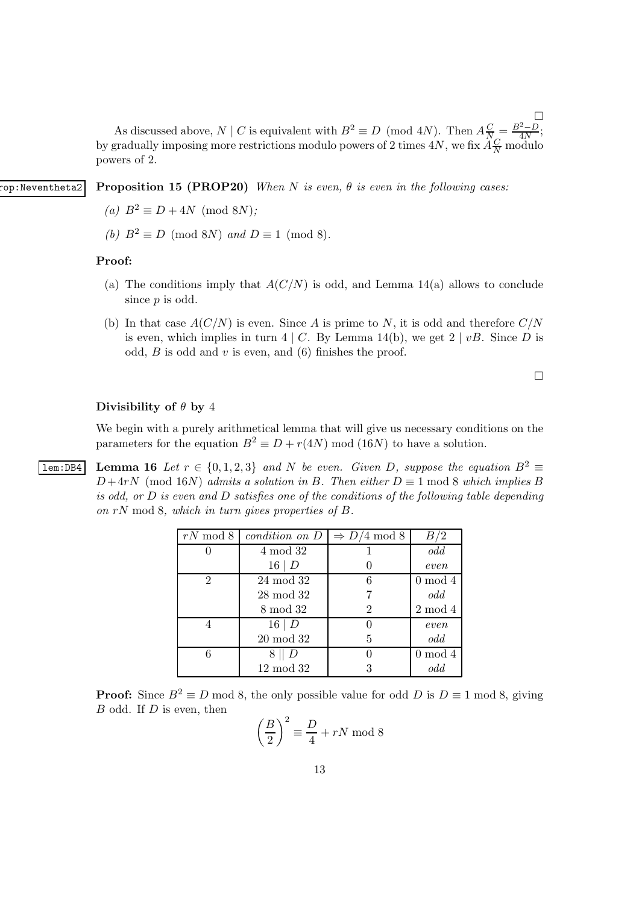$\Box$ As discussed above, N | C is equivalent with  $B^2 \equiv D \pmod{4N}$ . Then  $A\frac{C}{N} = \frac{B^2 - D}{4N}$ ; by gradually imposing more restrictions modulo powers of 2 times  $4N$ , we fix  $\widetilde{A}_{\overline{N}}^{\overline{C}}$  modulo powers of 2.

op:Neventheta2 Proposition 15 (PROP20) When N is even,  $\theta$  is even in the following cases:

- (a)  $B^2 \equiv D + 4N \pmod{8N}$ ;
- (b)  $B^2 \equiv D \pmod{8N}$  and  $D \equiv 1 \pmod{8}$ .

#### Proof:

- (a) The conditions imply that  $A(C/N)$  is odd, and Lemma 14(a) allows to conclude since  $p$  is odd.
- (b) In that case  $A(C/N)$  is even. Since A is prime to N, it is odd and therefore  $C/N$ is even, which implies in turn  $4 \mid C$ . By Lemma 14(b), we get  $2 \mid vB$ . Since D is odd,  $B$  is odd and  $v$  is even, and (6) finishes the proof.

 $\Box$ 

#### Divisibility of  $\theta$  by 4

We begin with a purely arithmetical lemma that will give us necessary conditions on the parameters for the equation  $B^2 \equiv D + r(4N) \mod (16N)$  to have a solution.

**lem:DB4** Lemma 16 Let  $r \in \{0, 1, 2, 3\}$  and N be even. Given D, suppose the equation  $B^2 \equiv$  $D+4rN \pmod{16N}$  admits a solution in B. Then either  $D \equiv 1 \mod 8$  which implies B is odd, or  $D$  is even and  $D$  satisfies one of the conditions of the following table depending on rN mod 8, which in turn gives properties of B.

| $rN \mod 8$ | condition on D  | $\Rightarrow D/4 \mod 8$ | B/2        |
|-------------|-----------------|--------------------------|------------|
|             | 4 mod 32        |                          | odd        |
|             | $16 \mid D$     |                          | even       |
| 2           | 24 mod 32       | 6                        | $0 \mod 4$ |
|             | $28 \mod 32$    |                          | odd        |
|             | 8 mod 32        | 2                        | $2 \mod 4$ |
|             | $16 \mid D$     |                          | even       |
|             | $20 \mod 32$    | 5                        | odd        |
| 6           | $8 \parallel D$ |                          | $0 \mod 4$ |
|             | $12 \mod 32$    |                          | odd        |

**Proof:** Since  $B^2 \equiv D \mod 8$ , the only possible value for odd D is  $D \equiv 1 \mod 8$ , giving  $B$  odd. If  $D$  is even, then

$$
\left(\frac{B}{2}\right)^2 \equiv \frac{D}{4} + rN \text{ mod } 8
$$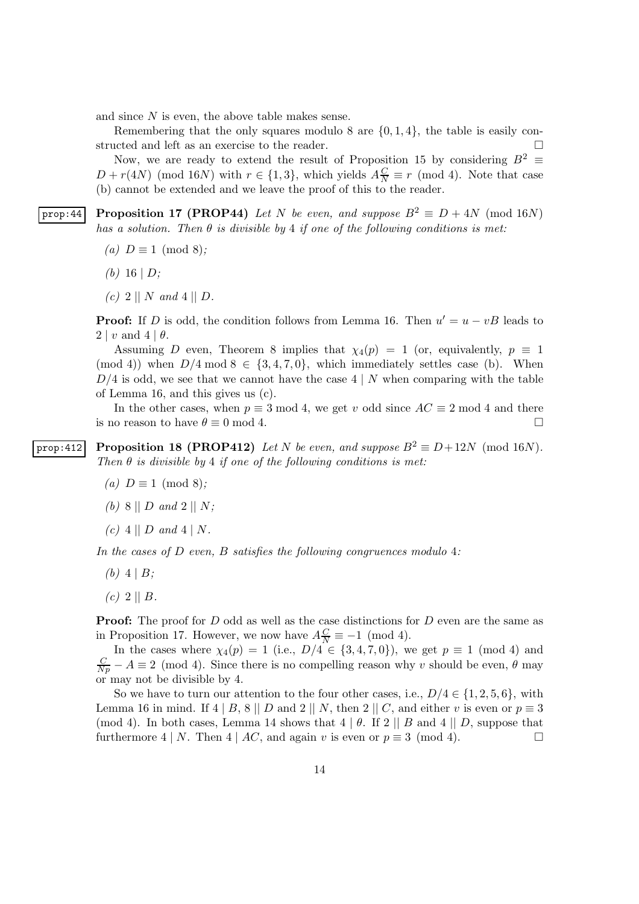and since N is even, the above table makes sense.

Remembering that the only squares modulo 8 are  $\{0, 1, 4\}$ , the table is easily con-<br>acted and left as an exercise to the reader. structed and left as an exercise to the reader.

Now, we are ready to extend the result of Proposition 15 by considering  $B^2 \equiv$  $D + r(4N)$  (mod 16N) with  $r \in \{1,3\}$ , which yields  $A\frac{C}{N} \equiv r \pmod{4}$ . Note that case (b) cannot be extended and we leave the proof of this to the reader.

prop:44 Proposition 17 (PROP44) Let N be even, and suppose  $B^2 \equiv D + 4N \pmod{16N}$ has a solution. Then  $\theta$  is divisible by 4 if one of the following conditions is met:

- (a)  $D \equiv 1 \pmod{8}$ ;
- (b) 16 |  $D$ ;
- (c) 2 || N and 4 || D.

**Proof:** If D is odd, the condition follows from Lemma 16. Then  $u' = u - vB$  leads to  $2 | v \text{ and } 4 | \theta.$ 

Assuming D even, Theorem 8 implies that  $\chi_4(p) = 1$  (or, equivalently,  $p \equiv 1$ ) (mod 4)) when  $D/4 \mod 8 \in \{3, 4, 7, 0\}$ , which immediately settles case (b). When  $D/4$  is odd, we see that we cannot have the case  $4 \mid N$  when comparing with the table of Lemma 16, and this gives us (c).

In the other cases, when  $p \equiv 3 \mod 4$ , we get v odd since  $AC \equiv 2 \mod 4$  and there is no reason to have  $\theta \equiv 0 \mod 4$ .

prop:412 Proposition 18 (PROP412) Let N be even, and suppose  $B^2 \equiv D + 12N \pmod{16N}$ . Then  $\theta$  is divisible by 4 if one of the following conditions is met:

- (a)  $D \equiv 1 \pmod{8}$ ;
- (b) 8 ||  $D$  and 2 ||  $N$ ;
- $(c)$  4 || D and 4 | N.

In the cases of  $D$  even,  $B$  satisfies the following congruences modulo 4:

- (b)  $4 \mid B;$
- $(c)$  2 || B.

**Proof:** The proof for D odd as well as the case distinctions for D even are the same as in Proposition 17. However, we now have  $A\frac{C}{N} \equiv -1 \pmod{4}$ .

In the cases where  $\chi_4(p) = 1$  (i.e.,  $D/4 \in \{3, 4, 7, 0\}$ ), we get  $p \equiv 1 \pmod{4}$  and  $\frac{C}{Np} - A \equiv 2 \pmod{4}$ . Since there is no compelling reason why v should be even,  $\theta$  may or may not be divisible by 4.

So we have to turn our attention to the four other cases, i.e.,  $D/4 \in \{1, 2, 5, 6\}$ , with Lemma 16 in mind. If 4 | B, 8 || D and 2 || N, then 2 || C, and either v is even or  $p \equiv 3$ (mod 4). In both cases, Lemma 14 shows that  $4 \mid \theta$ . If  $2 \mid B$  and  $4 \mid D$ , suppose that furthermore 4 | N. Then 4 | AC, and again v is even or  $p \equiv 3 \pmod{4}$ .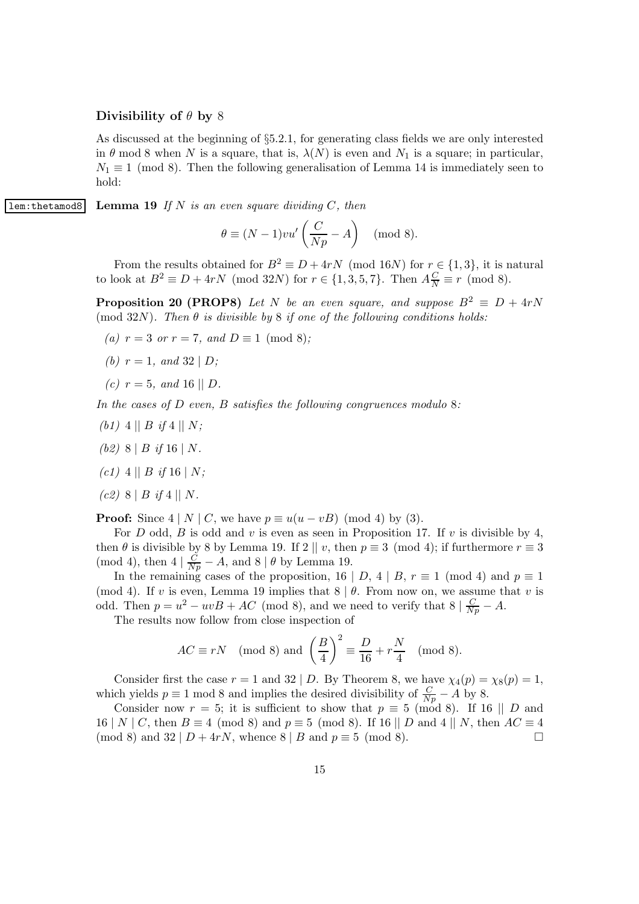#### Divisibility of  $\theta$  by 8

As discussed at the beginning of §5.2.1, for generating class fields we are only interested in  $\theta$  mod 8 when N is a square, that is,  $\lambda(N)$  is even and  $N_1$  is a square; in particular,  $N_1 \equiv 1 \pmod{8}$ . Then the following generalisation of Lemma 14 is immediately seen to hold:

**lem:**thetamod8 Lemma 19 If N is an even square dividing C, then

$$
\theta \equiv (N-1)v u' \left(\frac{C}{Np} - A\right) \pmod{8}.
$$

From the results obtained for  $B^2 \equiv D + 4rN \pmod{16N}$  for  $r \in \{1,3\}$ , it is natural to look at  $B^2 \equiv D + 4rN \pmod{32N}$  for  $r \in \{1, 3, 5, 7\}$ . Then  $A_{\overline{N}}^{\overline{C}} \equiv r \pmod{8}$ .

**Proposition 20 (PROP8)** Let N be an even square, and suppose  $B^2 \equiv D + 4rN$ (mod 32N). Then  $\theta$  is divisible by 8 if one of the following conditions holds:

- (a)  $r = 3$  or  $r = 7$ , and  $D \equiv 1 \pmod{8}$ ;
- (b)  $r = 1$ , and  $32 | D$ ;
- (c)  $r = 5$ , and 16 || D.

In the cases of  $D$  even,  $B$  satisfies the following congruences modulo 8:

- (b1) 4 || B if 4 || N;
- (b2)  $8 \mid B \text{ if } 16 \mid N$ .
- (c1) 4 || B if 16 | N;
- $(c2)$  8 | B if 4 || N.

**Proof:** Since  $4 | N | C$ , we have  $p \equiv u(u - vB) \pmod{4}$  by (3).

For D odd, B is odd and v is even as seen in Proposition 17. If v is divisible by 4, then  $\theta$  is divisible by 8 by Lemma 19. If 2 || v, then  $p \equiv 3 \pmod{4}$ ; if furthermore  $r \equiv 3$ (mod 4), then  $4 | \frac{C}{Np} - A$ , and  $8 | \theta$  by Lemma 19.

In the remaining cases of the proposition, 16 | D, 4 | B,  $r \equiv 1 \pmod{4}$  and  $p \equiv 1$ (mod 4). If v is even, Lemma 19 implies that  $8 \mid \theta$ . From now on, we assume that v is odd. Then  $p = u^2 - uvB + AC \pmod{8}$ , and we need to verify that  $8 | \frac{C}{Np} - A$ .

The results now follow from close inspection of

$$
AC \equiv rN \pmod{8}
$$
 and  $\left(\frac{B}{4}\right)^2 \equiv \frac{D}{16} + r\frac{N}{4} \pmod{8}$ .

Consider first the case  $r = 1$  and  $32 \mid D$ . By Theorem 8, we have  $\chi_4(p) = \chi_8(p) = 1$ , which yields  $p \equiv 1 \mod 8$  and implies the desired divisibility of  $\frac{C}{Np} - A$  by 8.

Consider now  $r = 5$ ; it is sufficient to show that  $p \equiv 5 \pmod{8}$ . If 16 || D and 16 | N | C, then  $B \equiv 4 \pmod{8}$  and  $p \equiv 5 \pmod{8}$ . If 16 || D and  $4 \mid N$ , then  $AC \equiv 4 \pmod{8}$  and  $32 \mid D + 4rN$ , whence  $8 \mid B$  and  $n \equiv 5 \pmod{8}$ . (mod 8) and  $32 | D + 4rN$ , whence  $8 | B$  and  $p \equiv 5 \pmod{8}$ .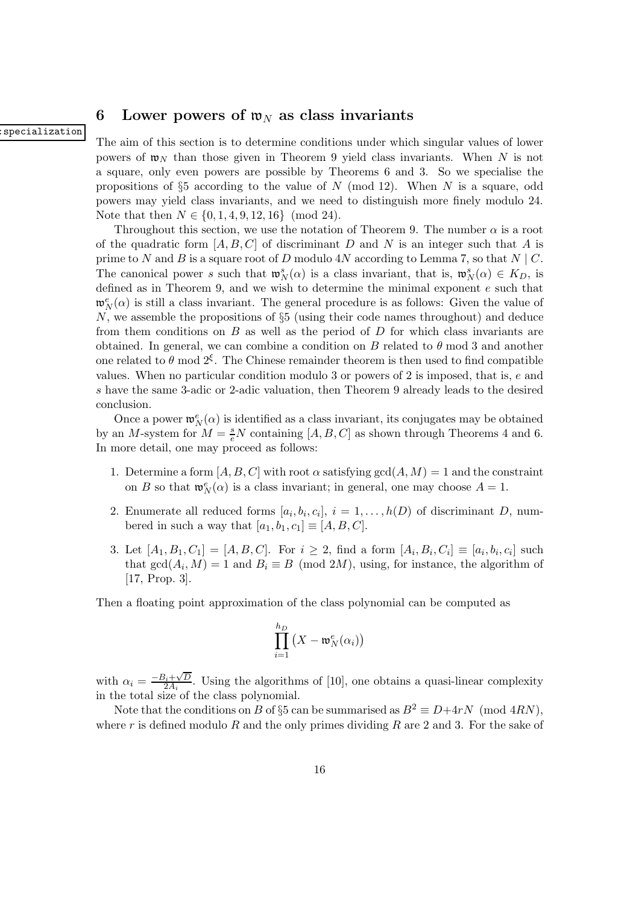### 6 Lower powers of  $\mathfrak{w}_N$  as class invariants

#### specialization

The aim of this section is to determine conditions under which singular values of lower powers of  $\mathfrak{w}_N$  than those given in Theorem 9 yield class invariants. When N is not a square, only even powers are possible by Theorems 6 and 3. So we specialise the propositions of §5 according to the value of N (mod 12). When N is a square, odd powers may yield class invariants, and we need to distinguish more finely modulo 24. Note that then  $N \in \{0, 1, 4, 9, 12, 16\} \pmod{24}$ .

Throughout this section, we use the notation of Theorem 9. The number  $\alpha$  is a root of the quadratic form  $[A, B, C]$  of discriminant D and N is an integer such that A is prime to N and B is a square root of D modulo  $4N$  according to Lemma 7, so that  $N \mid C$ . The canonical power s such that  $\mathfrak{w}_N^s(\alpha)$  is a class invariant, that is,  $\mathfrak{w}_N^s(\alpha) \in K_D$ , is defined as in Theorem 9, and we wish to determine the minimal exponent e such that  $\mathfrak{w}_N^e(\alpha)$  is still a class invariant. The general procedure is as follows: Given the value of N, we assemble the propositions of §5 (using their code names throughout) and deduce from them conditions on  $B$  as well as the period of  $D$  for which class invariants are obtained. In general, we can combine a condition on B related to  $\theta$  mod 3 and another one related to  $\theta$  mod  $2^{\xi}$ . The Chinese remainder theorem is then used to find compatible values. When no particular condition modulo 3 or powers of 2 is imposed, that is, e and s have the same 3-adic or 2-adic valuation, then Theorem 9 already leads to the desired conclusion.

Once a power  $\mathfrak{w}_N^e(\alpha)$  is identified as a class invariant, its conjugates may be obtained by an M-system for  $M = \frac{s}{e}N$  containing  $[A, B, C]$  as shown through Theorems 4 and 6. In more detail, one may proceed as follows:

- 1. Determine a form  $[A, B, C]$  with root  $\alpha$  satisfying  $gcd(A, M) = 1$  and the constraint on B so that  $\mathfrak{w}_N^e(\alpha)$  is a class invariant; in general, one may choose  $A = 1$ .
- 2. Enumerate all reduced forms  $[a_i, b_i, c_i], i = 1, \ldots, h(D)$  of discriminant D, numbered in such a way that  $[a_1,b_1,c_1] \equiv [A,B,C].$
- 3. Let  $[A_1, B_1, C_1] = [A, B, C]$ . For  $i \ge 2$ , find a form  $[A_i, B_i, C_i] \equiv [a_i, b_i, c_i]$  such that  $gcd(A_i, M) = 1$  and  $B_i \equiv B \pmod{2M}$ , using, for instance, the algorithm of [17, Prop. 3].

Then a floating point approximation of the class polynomial can be computed as

$$
\prod_{i=1}^{h_D} \left( X - \mathfrak{w}_N^e(\alpha_i) \right)
$$

with  $\alpha_i = \frac{-B_i + \sqrt{D}}{2A_i}$  $\frac{2A_i + \sqrt{D}}{2A_i}$ . Using the algorithms of [10], one obtains a quasi-linear complexity in the total size of the class polynomial.

Note that the conditions on B of §5 can be summarised as  $B^2 \equiv D + 4rN \pmod{4RN}$ , where  $r$  is defined modulo  $R$  and the only primes dividing  $R$  are 2 and 3. For the sake of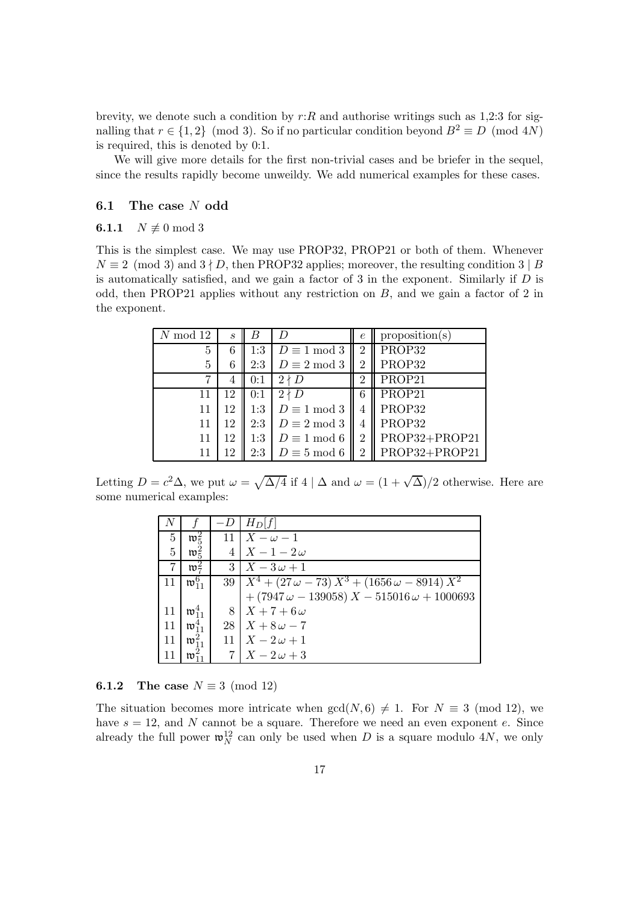brevity, we denote such a condition by  $r:R$  and authorise writings such as 1,2:3 for signalling that  $r \in \{1,2\}$  (mod 3). So if no particular condition beyond  $B^2 \equiv D \pmod{4N}$ is required, this is denoted by 0:1.

We will give more details for the first non-trivial cases and be briefer in the sequel, since the results rapidly become unweildy. We add numerical examples for these cases.

### 6.1 The case N odd

#### 6.1.1  $N \not\equiv 0 \mod 3$

This is the simplest case. We may use PROP32, PROP21 or both of them. Whenever  $N \equiv 2 \pmod{3}$  and  $3 \nmid D$ , then PROP32 applies; moreover, the resulting condition  $3 \mid B$ is automatically satisfied, and we gain a factor of  $3$  in the exponent. Similarly if  $D$  is odd, then PROP21 applies without any restriction on B, and we gain a factor of 2 in the exponent.

| $N \mod 12$ | $\mathcal{S}_{0}$ | B   | D                   | $\epsilon$     | proposition(s) |
|-------------|-------------------|-----|---------------------|----------------|----------------|
| 5           | 6                 | 1:3 | $D \equiv 1 \mod 3$ | 2              | PROP32         |
| 5           | 6                 | 2:3 | $D \equiv 2 \mod 3$ | 2              | PROP32         |
|             | 4                 | 0:1 | $2 \nmid D$         | $\overline{2}$ | PROP21         |
| 11          | 12                | 0:1 | $2 \nmid D$         | 6              | PROP21         |
| 11          | 12                | 1:3 | $D \equiv 1 \mod 3$ | 4              | PROP32         |
| 11          | 12                | 2:3 | $D \equiv 2 \mod 3$ | 4              | PROP32         |
| 11          | 12                | 1:3 | $D \equiv 1 \mod 6$ | 2              | PROP32+PROP21  |
| 11          | 12                | 2:3 | $D \equiv 5 \mod 6$ | 2              | PROP32+PROP21  |

Letting  $D = c^2 \Delta$ , we put  $\omega = \sqrt{\Delta/4}$  if  $4 | \Delta$  and  $\omega = (1 + \sqrt{\Delta})/2$  otherwise. Here are some numerical examples:

| N  |                         |    | $H_D f $                                                                                                                                                       |
|----|-------------------------|----|----------------------------------------------------------------------------------------------------------------------------------------------------------------|
| 5  | $\mathfrak{w}_5^2$      | 11 | $X-\omega-1$                                                                                                                                                   |
| 5  | $\mathfrak{w}_5^2$      |    | $X-1-2\omega$                                                                                                                                                  |
| 7  | $\mathfrak{w}^2_7$      |    | $3 \mid X-3\omega+1$                                                                                                                                           |
| 11 | $\mathfrak{w}_{11}^{6}$ |    | $\begin{array}{c c}\n 39 & X^4 + (27\,\omega - 73)\,X^3 + (1656\,\omega - 8914)\,X^2 \\  + (7947\,\omega - 139058)\,X - 515016\,\omega + 1000693\n\end{array}$ |
|    |                         |    |                                                                                                                                                                |
| 11 | $\mathfrak{w}_{11}^4$   | 8  | $X+7+6\omega$                                                                                                                                                  |
| 11 | $\mathfrak{w}_{11}^4$   |    | $28 \mid X + 8\omega - 7$                                                                                                                                      |
| 11 | $\mathfrak{w}_{11}^2$   |    | $X-2\omega+1$                                                                                                                                                  |
|    | $\mathfrak{w}_1^2$      |    | $X-2\omega+3$                                                                                                                                                  |

**6.1.2** The case  $N \equiv 3 \pmod{12}$ 

The situation becomes more intricate when  $gcd(N, 6) \neq 1$ . For  $N \equiv 3 \pmod{12}$ , we have  $s = 12$ , and N cannot be a square. Therefore we need an even exponent e. Since already the full power  $\mathfrak{w}_N^{12}$  can only be used when D is a square modulo 4N, we only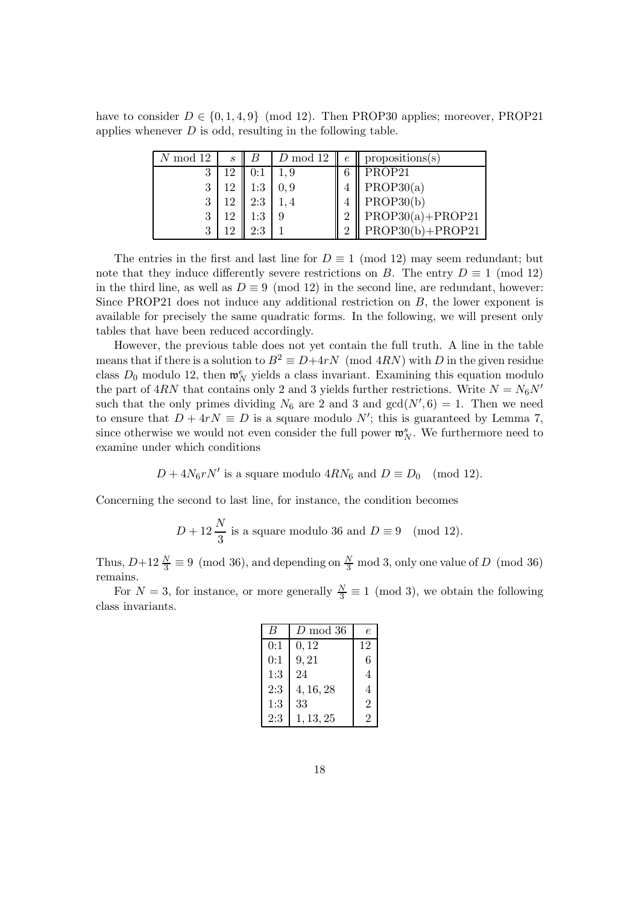have to consider  $D \in \{0, 1, 4, 9\}$  (mod 12). Then PROP30 applies; moreover, PROP21 applies whenever  $D$  is odd, resulting in the following table.

| $N \bmod 12$ | $\mathcal{S}_{0}$ |     | $\mid D \mod 12$ |                | $e \parallel$ propositions(s) |
|--------------|-------------------|-----|------------------|----------------|-------------------------------|
| 3            | 19                | 0:1 |                  |                | PROP21                        |
| 3            | 19                | 1:3 |                  |                | PROP30(a)                     |
| 3            | 12                | 2:3 |                  |                | $\vert$ PROP30(b)             |
| 3            |                   | 1:3 |                  | $\overline{2}$ | $\parallel$ PROP30(a)+PROP21  |
|              |                   |     |                  | $\overline{2}$ | $PROP30(b) + PROP21$          |

The entries in the first and last line for  $D \equiv 1 \pmod{12}$  may seem redundant; but note that they induce differently severe restrictions on B. The entry  $D \equiv 1 \pmod{12}$ in the third line, as well as  $D \equiv 9 \pmod{12}$  in the second line, are redundant, however: Since PROP21 does not induce any additional restriction on  $B$ , the lower exponent is available for precisely the same quadratic forms. In the following, we will present only tables that have been reduced accordingly.

However, the previous table does not yet contain the full truth. A line in the table means that if there is a solution to  $B^2 \equiv D + 4rN \pmod{4RN}$  with D in the given residue class  $D_0$  modulo 12, then  $\mathfrak{w}_N^e$  yields a class invariant. Examining this equation modulo the part of  $4RN$  that contains only 2 and 3 yields further restrictions. Write  $N = N_6N'$ such that the only primes dividing  $N_6$  are 2 and 3 and  $gcd(N', 6) = 1$ . Then we need to ensure that  $D + 4rN \equiv D$  is a square modulo N'; this is guaranteed by Lemma 7, since otherwise we would not even consider the full power  $\mathfrak{w}_N^s$ . We furthermore need to examine under which conditions

 $D + 4N_6rN'$  is a square modulo  $4RN_6$  and  $D \equiv D_0 \pmod{12}$ .

Concerning the second to last line, for instance, the condition becomes

$$
D + 12 \frac{N}{3}
$$
 is a square modulo 36 and  $D \equiv 9 \pmod{12}$ .

Thus,  $D+12\frac{N}{3}\equiv 9\pmod{36}$ , and depending on  $\frac{N}{3}$  mod 3, only one value of D (mod 36) remains.

For  $N = 3$ , for instance, or more generally  $\frac{N}{3} \equiv 1 \pmod{3}$ , we obtain the following class invariants.

|     | D mod 36  | e              |
|-----|-----------|----------------|
| 0:1 | 0, 12     | 12             |
| 0:1 | 9, 21     | 6              |
| 1:3 | 24        | 4              |
| 2:3 | 4, 16, 28 | 4              |
| 1:3 | 33        | $\overline{2}$ |
| 2:3 | 1, 13, 25 | 2              |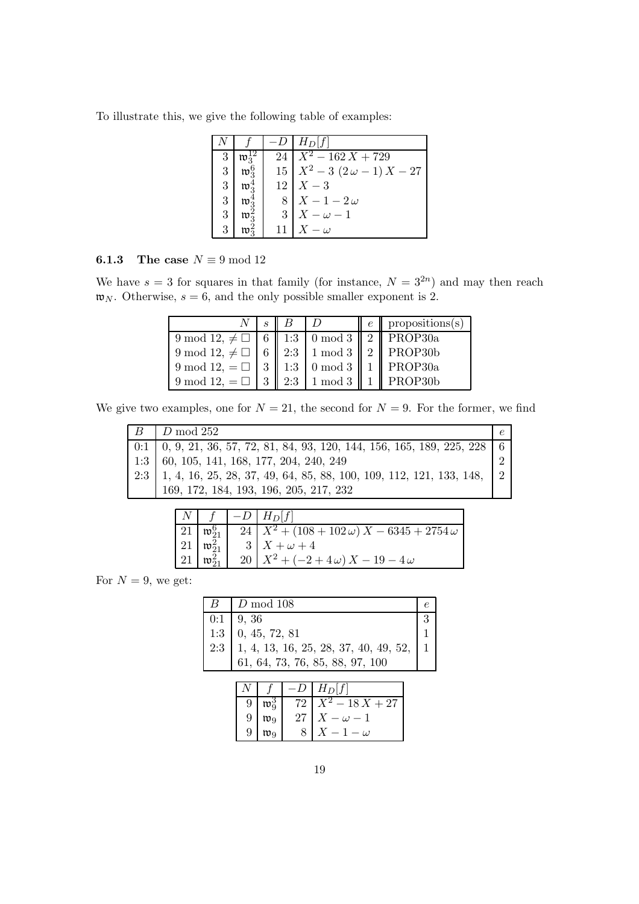To illustrate this, we give the following table of examples:

|   |                    |    | $H_D[f]$                                |
|---|--------------------|----|-----------------------------------------|
| 3 |                    |    | $\overline{24}$   $X^2 - 162X + 729$    |
| 3 | $\mathfrak{w}^6_2$ |    | $15\left  X^2-3(2\omega-1)X-27 \right $ |
| 3 | $\mathfrak{w}_2^4$ |    | $12 \mid X-3$                           |
| 3 | $\mathfrak{w}_2^*$ |    | $8\mid X-1-2\omega$                     |
| 3 | $\mathfrak{w}_2$   |    | $3 \mid X - \omega - 1$                 |
|   |                    | 11 | $X-\omega$                              |

### **6.1.3** The case  $N \equiv 9 \mod 12$

We have  $s = 3$  for squares in that family (for instance,  $N = 3^{2n}$ ) and may then reach  $\mathfrak{w}_N$ . Otherwise,  $s = 6$ , and the only possible smaller exponent is 2.

|                                                         | $N \perp s \perp B$ |  | $e \parallel$ propositions(s) |
|---------------------------------------------------------|---------------------|--|-------------------------------|
| 9 mod 12, $\neq \Box$ 6   1:3   0 mod 3   2   PROP30a   |                     |  |                               |
| 9 mod 12, $\neq \Box$ 6   2:3   1 mod 3   2   PROP30b   |                     |  |                               |
| 9 mod 12, = $\Box$   3    1:3   0 mod 3    1    PROP30a |                     |  |                               |
| 9 mod 12, = $\Box$   3    2:3   1 mod 3    1    PROP30b |                     |  |                               |

We give two examples, one for  $N = 21$ , the second for  $N = 9$ . For the former, we find

| $D \mod 252$                                                                                                                                               |  |
|------------------------------------------------------------------------------------------------------------------------------------------------------------|--|
| $0:1 \mid 0, 9, 21, 36, 57, 72, 81, 84, 93, 120, 144, 156, 165, 189, 225, 228 \mid 6$                                                                      |  |
| $1:3$ 60, 105, 141, 168, 177, 204, 240, 249                                                                                                                |  |
|                                                                                                                                                            |  |
| 2:3   1, 4, 16, 25, 28, 37, 49, 64, 85, 88, 100, 109, 112, 121, 133, 148, $\begin{bmatrix} 2 \\ 2 \\ 169, 172, 184, 193, 196, 205, 217, 232 \end{bmatrix}$ |  |

|  | $N \mid f \mid -D \mid H_D[f]$                                                                                                                                                                            |
|--|-----------------------------------------------------------------------------------------------------------------------------------------------------------------------------------------------------------|
|  |                                                                                                                                                                                                           |
|  |                                                                                                                                                                                                           |
|  | 21 $\mathfrak{w}_{21}^6$ $24$ $X^2 + (108 + 102 \omega) X - 6345 + 2754 \omega$<br>21 $\mathfrak{w}_{21}^2$ $3$ $X + \omega + 4$<br>21 $\mathfrak{w}_{21}^2$ $20$ $X^2 + (-2 + 4\omega) X - 19 - 4\omega$ |

For  $N = 9$ , we get:

| $B \parallel D \mod 108$ |  |
|--------------------------|--|
|                          |  |
|                          |  |
|                          |  |
|                          |  |

|   |                  |    | $H_D[f]$            |
|---|------------------|----|---------------------|
| 9 |                  | 72 | $\sqrt[2]{-18X+27}$ |
| 9 | $\mathfrak{w}_9$ | 27 | $-\omega$           |
| 9 | m٩               |    | - ω                 |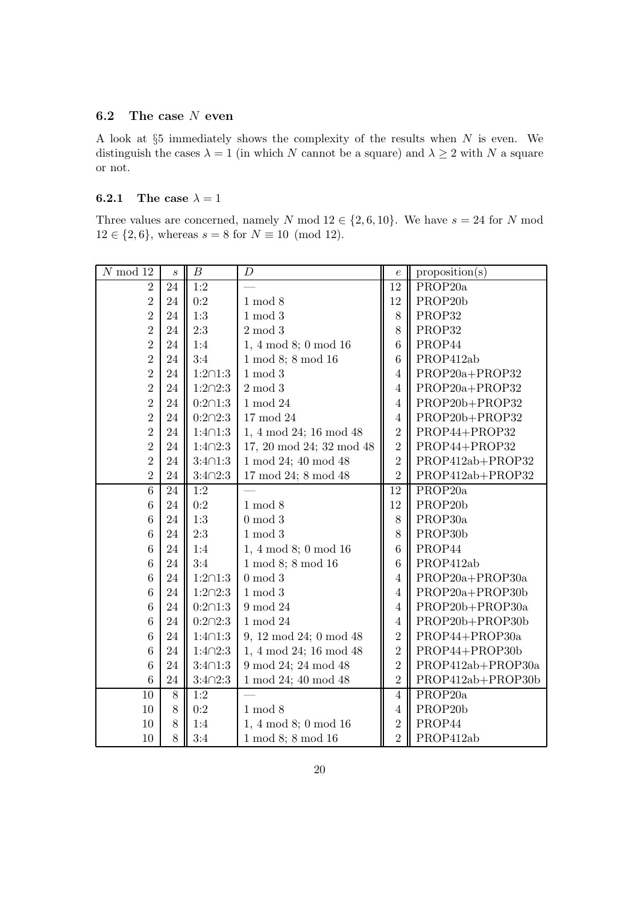### 6.2 The case N even

A look at  $\S5$  immediately shows the complexity of the results when  $N$  is even. We distinguish the cases  $\lambda = 1$  (in which N cannot be a square) and  $\lambda \geq 2$  with N a square or not.

### **6.2.1** The case  $\lambda = 1$

Three values are concerned, namely N mod  $12 \in \{2,6,10\}$ . We have  $s = 24$  for N mod  $12 \in \{2, 6\}$ , whereas  $s = 8$  for  $N \equiv 10 \pmod{12}$ .

| $N \mod 12$    | $\boldsymbol{s}$ | $\boldsymbol{B}$ | $\boldsymbol{D}$           | $\boldsymbol{e}$ | proposition(s)       |
|----------------|------------------|------------------|----------------------------|------------------|----------------------|
| $\overline{2}$ | 24               | 1:2              |                            | 12               | PROP20a              |
| $\overline{2}$ | 24               | 0:2              | $1 \mod 8$                 | 12               | PROP <sub>20</sub> b |
| $\overline{2}$ | 24               | 1:3              | $1 \mod 3$                 | 8                | PROP32               |
| $\overline{2}$ | 24               | 2:3              | $2 \mod 3$                 | $8\,$            | PROP32               |
| $\overline{2}$ | 24               | 1:4              | 1, 4 mod 8; 0 mod 16       | $6\phantom{.}6$  | PROP44               |
| $\overline{2}$ | 24               | 3:4              | 1 mod 8; 8 mod 16          | $6\phantom{.}6$  | PROP412ab            |
| $\overline{2}$ | 24               | $1:2 \cap 1:3$   | $1 \mod 3$                 | $\overline{4}$   | PROP20a+PROP32       |
| $\overline{2}$ | 24               | $1:2 \cap 2:3$   | $2 \bmod 3$                | $\overline{4}$   | PROP20a+PROP32       |
| $\overline{2}$ | 24               | $0:2 \cap 1:3$   | $1 \bmod 24$               | $\overline{4}$   | PROP20b+PROP32       |
| $\overline{2}$ | 24               | $0:2 \cap 2:3$   | 17 mod 24                  | $\overline{4}$   | PROP20b+PROP32       |
| $\overline{2}$ | 24               | $1:4 \cap 1:3$   | 1, 4 mod 24; 16 mod 48     | $\overline{2}$   | PROP44+PROP32        |
| $\overline{2}$ | 24               | $1:4 \cap 2:3$   | 17, 20 mod 24; 32 mod 48   | $\overline{2}$   | PROP44+PROP32        |
| $\overline{2}$ | 24               | $3:4 \cap 1:3$   | 1 mod 24; 40 mod 48        | $\overline{2}$   | PROP412ab+PROP32     |
| $\overline{2}$ | 24               | $3:4 \cap 2:3$   | 17 mod 24; 8 mod 48        | $\overline{2}$   | PROP412ab+PROP32     |
| $\,6\,$        | 24               | 1:2              |                            | 12               | PROP <sub>20</sub> a |
| 6              | 24               | 0:2              | $1 \mod 8$                 | 12               | PROP <sub>20</sub> b |
| 6              | 24               | 1:3              | $0 \mod 3$                 | 8                | PROP <sub>30a</sub>  |
| 6              | 24               | 2:3              | $1 \mod 3$                 | 8                | PROP30b              |
| 6              | 24               | 1:4              | 1, 4 mod 8; 0 mod 16       | $\boldsymbol{6}$ | PROP44               |
| 6              | 24               | 3:4              | 1 mod 8; 8 mod 16          | $6\phantom{.}6$  | PROP412ab            |
| 6              | 24               | $1:2 \cap 1:3$   | $0 \mod 3$                 | $\overline{4}$   | PROP20a+PROP30a      |
| 6              | 24               | $1:2 \cap 2:3$   | $1 \mod 3$                 | $\sqrt{4}$       | PROP20a+PROP30b      |
| 6              | 24               | $0:2 \cap 1:3$   | 9 mod 24                   | $\overline{4}$   | PROP20b+PROP30a      |
| 6              | 24               | $0:2 \cap 2:3$   | $1 \bmod 24$               | $\overline{4}$   | PROP20b+PROP30b      |
| 6              | 24               | $1:4 \cap 1:3$   | 9, 12 mod 24; 0 mod 48     | $\overline{2}$   | PROP44+PROP30a       |
| 6              | 24               | $1:4 \cap 2:3$   | 1, 4 mod 24; 16 mod 48     | $\overline{2}$   | PROP44+PROP30b       |
| 6              | 24               | $3:4 \cap 1:3$   | 9 mod 24; 24 mod 48        | $\overline{2}$   | PROP412ab+PROP30a    |
| 6              | 24               | $3:4 \cap 2:3$   | 1 mod 24; 40 mod 48        | $\overline{2}$   | PROP412ab+PROP30b    |
| $10\,$         | 8                | 1:2              |                            | $\overline{4}$   | PROP <sub>20</sub> a |
| 10             | $8\,$            | 0:2              | $1 \mod 8$                 | $\overline{4}$   | PROP20b              |
| 10             | 8                | 1:4              | $1, 4 \mod 8$ ; 0 mod $16$ | $\sqrt{2}$       | PROP44               |
| 10             | 8                | 3:4              | 1 mod 8; 8 mod 16          | $\overline{2}$   | PROP412ab            |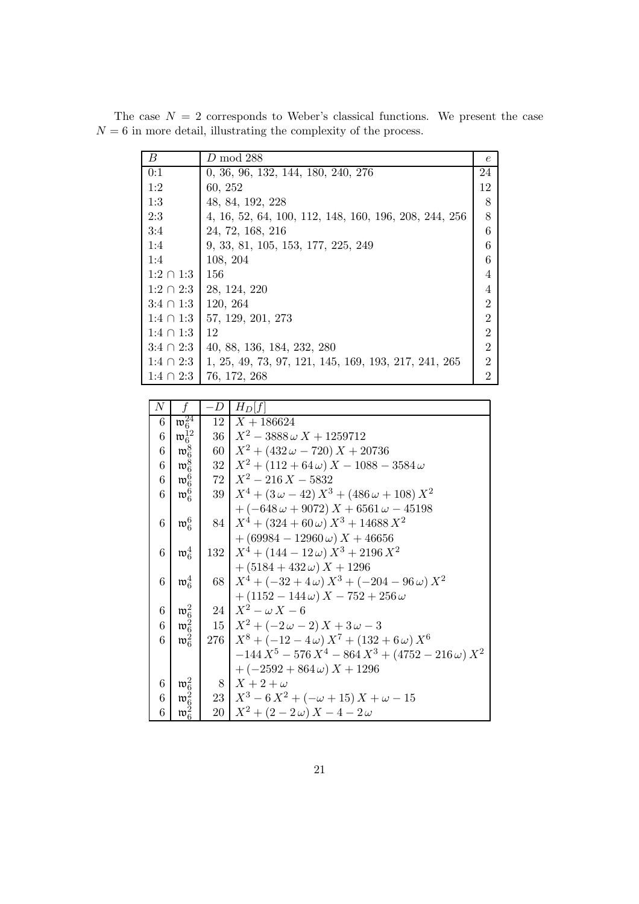| $\boldsymbol{B}$ | $D \mod 288$                                          | $\epsilon$     |
|------------------|-------------------------------------------------------|----------------|
| 0:1              | 0, 36, 96, 132, 144, 180, 240, 276                    | 24             |
| 1:2              | 60, 252                                               | 12             |
| 1:3              | 48, 84, 192, 228                                      | 8              |
| 2:3              | 4, 16, 52, 64, 100, 112, 148, 160, 196, 208, 244, 256 | 8              |
| 3:4              | 24, 72, 168, 216                                      | 6              |
| 1:4              | 9, 33, 81, 105, 153, 177, 225, 249                    | 6              |
| 1:4              | 108, 204                                              | 6              |
| $1:2 \cap 1:3$   | 156                                                   | 4              |
| $1:2 \cap 2:3$   | 28, 124, 220                                          | $\overline{4}$ |
| $3:4 \cap 1:3$   | 120, 264                                              | $\overline{2}$ |
| $1:4 \cap 1:3$   | 57, 129, 201, 273                                     | $\overline{2}$ |
| $1:4 \cap 1:3$   | 12                                                    | $\overline{2}$ |
| $3:4 \cap 2:3$   | 40, 88, 136, 184, 232, 280                            | $\mathfrak{2}$ |
| $1:4 \cap 2:3$   | 1, 25, 49, 73, 97, 121, 145, 169, 193, 217, 241, 265  | $\overline{2}$ |
| $1:4 \cap 2:3$   | 76, 172, 268                                          | $\overline{2}$ |

The case  $N = 2$  corresponds to Weber's classical functions. We present the case  $N = 6$  in more detail, illustrating the complexity of the process.

| $\,N$ | f                                           | $-D$ | $H_D f $                                                                                           |
|-------|---------------------------------------------|------|----------------------------------------------------------------------------------------------------|
| 6     | $\mathfrak{w}_6^{24}$                       | 12   | $X + 186624$                                                                                       |
| 6     | $\mathfrak{w}_6^{12}$                       |      | $36 \mid X^2 - 3888 \omega X + 1259712$                                                            |
| 6     | $\mathfrak{w}_6^8$                          |      | 60   $X^2 + (432\omega - 720) X + 20736$                                                           |
| 6     | $\mathfrak{w}_6^8$                          |      | $32\left  X^2 + (112 + 64\omega) X - 1088 - 3584\omega \right $                                    |
| 6     | $\mathfrak{w}_6^6$                          |      | $72 \mid X^2 - 216X - 5832$                                                                        |
| 6     | $\mathfrak{w}_6^6$                          |      | 39   $X^4 + (3\omega - 42) X^3 + (486\omega + 108) X^2$                                            |
|       |                                             |      | $+(-648\omega+9072)X+6561\omega-45198$                                                             |
| 6     | $\mathfrak{w}_6^6$                          |      | $84 \mid X^4 + (324 + 60\omega) X^3 + 14688 X^2$                                                   |
|       |                                             |      | $+(69984-12960\,\omega) X + 46656$                                                                 |
| 6     | $\mathfrak{w}_6^4$                          |      | $132 \mid X^4 + (144 - 12\omega) X^3 + 2196 X^2$                                                   |
|       |                                             |      | $+(5184+432\omega) X + 1296$                                                                       |
| 6     | $\mathfrak{w}_6^4$                          |      | 68   $X^4 + (-32 + 4\omega) X^3 + (-204 - 96\omega) X^2$                                           |
|       |                                             |      | $+(1152 - 144\omega) X - 752 + 256\omega$                                                          |
| 6     | $\mathfrak{w}_6^2$                          |      | $24\mid X^2-\omega X-6$                                                                            |
| 6     | $\mathfrak{w}_6^2$                          |      | $15\left  X^2+(-2\omega-2)X+3\omega-3 \right $                                                     |
| 6     | $\mathfrak{w}_6^2$                          |      | 276   $X^8 + (-12 - 4\omega) X^7 + (132 + 6\omega) X^6$                                            |
|       |                                             |      | $-144 X^5 - 576 X^4 - 864 X^3 + (4752 - 216 \omega) X^2$                                           |
|       |                                             |      | $+(-2592+864\omega) X + 1296$                                                                      |
| 6     | $\frac{\mathfrak{w}_6^2}{\mathfrak{w}_6^2}$ |      | $8\mid X+2+\omega$                                                                                 |
| 6     |                                             |      | $\begin{array}{ c c c c c }\n\hline\n23 & X^3 - 6X^2 + (-\omega + 15)X + \omega - 15\n\end{array}$ |
| 6     | $\mathfrak{w}_6^2$                          |      | $20\mid X^2 + (2-2\omega) X - 4-2\omega$                                                           |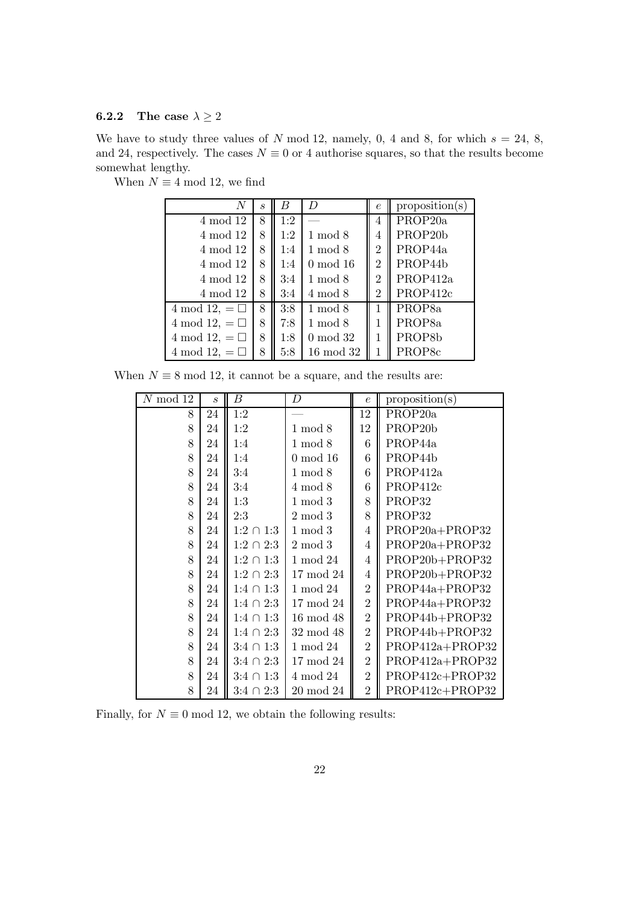### **6.2.2** The case  $\lambda \geq 2$

We have to study three values of N mod 12, namely, 0, 4 and 8, for which  $s = 24, 8$ , and 24, respectively. The cases  $N \equiv 0$  or 4 authorise squares, so that the results become somewhat lengthy.

| N                    | $\mathcal{S}_{0}$ | B   | $\overline{D}$ | $\epsilon$     | proposition(s)       |
|----------------------|-------------------|-----|----------------|----------------|----------------------|
| 4 mod 12             | 8                 | 1:2 |                | 4              | PROP <sub>20</sub> a |
| 4 mod 12             | 8                 | 1:2 | $1 \mod 8$     | 4              | PROP <sub>20</sub> b |
| 4 mod 12             | 8                 | 1:4 | $1 \mod 8$     | $\overline{2}$ | PROP44a              |
| 4 mod 12             | 8                 | 1:4 | $0 \mod 16$    | $\overline{2}$ | PROP44b              |
| 4 mod 12             | 8                 | 3:4 | $1 \mod 8$     | $\overline{2}$ | PROP412a             |
| 4 mod 12             | 8                 | 3:4 | $4 \mod 8$     | $\overline{2}$ | PROP412c             |
| 4 mod 12, $= \Box$   | 8                 | 3:8 | $1 \mod 8$     |                | PROP <sub>8</sub> a  |
| 4 mod 12, $=$ $\Box$ | 8                 | 7:8 | $1 \mod 8$     | 1              | PROP <sub>8a</sub>   |
| 4 mod 12, $= \Box$   | 8                 | 1:8 | $0 \mod 32$    | 1              | PROP8b               |
| 4 mod 12, $= \Box$   | 8                 | 5:8 | $16 \mod 32$   |                | PROP <sub>8c</sub>   |

When  $N \equiv 4 \mod 12$ , we find

When  $N \equiv 8 \mod 12$ , it cannot be a square, and the results are:

| $N \mod 12$ | $\mathcal{S}_{\mathcal{S}}$ | $\boldsymbol{B}$ | $\boldsymbol{D}$ | $\epsilon$     | proposition(s)       |
|-------------|-----------------------------|------------------|------------------|----------------|----------------------|
| 8           | 24                          | 1:2              |                  | 12             | PROP <sub>20</sub> a |
| 8           | 24                          | 1:2              | $1 \mod 8$       | 12             | PROP <sub>20</sub> b |
| 8           | 24                          | 1:4              | $1 \mod 8$       | 6              | PROP44a              |
| 8           | 24                          | 1:4              | $0 \mod 16$      | 6              | PROP44b              |
| 8           | 24                          | 3:4              | $1 \bmod 8$      | 6              | PROP412a             |
| 8           | 24                          | 3:4              | $4 \mod 8$       | $\overline{6}$ | PROP412c             |
| 8           | 24                          | 1:3              | $1 \mod 3$       | 8              | PROP32               |
| 8           | 24                          | 2:3              | $2 \bmod 3$      | 8              | PROP32               |
| 8           | 24                          | $1:2 \cap 1:3$   | $1 \mod 3$       | $\overline{4}$ | PROP20a+PROP32       |
| 8           | 24                          | $1:2 \cap 2:3$   | $2 \mod 3$       | $\overline{4}$ | PROP20a+PROP32       |
| 8           | 24                          | $1:2 \cap 1:3$   | 1 mod 24         | $\overline{4}$ | PROP20b+PROP32       |
| 8           | 24                          | $1:2 \cap 2:3$   | $17 \mod 24$     | 4              | PROP20b+PROP32       |
| 8           | 24                          | $1:4 \cap 1:3$   | 1 mod 24         | $\overline{2}$ | PROP44a+PROP32       |
| 8           | 24                          | $1:4 \cap 2:3$   | $17 \bmod 24$    | $\overline{2}$ | PROP44a+PROP32       |
| 8           | 24                          | $1:4 \cap 1:3$   | $16 \mod 48$     | $\overline{2}$ | PROP44b+PROP32       |
| 8           | 24                          | $1:4 \cap 2:3$   | $32 \mod 48$     | $\overline{2}$ | PROP44b+PROP32       |
| 8           | 24                          | $3:4 \cap 1:3$   | 1 mod 24         | $\overline{2}$ | PROP412a+PROP32      |
| 8           | 24                          | $3:4 \cap 2:3$   | 17 mod 24        | $\overline{2}$ | PROP412a+PROP32      |
| 8           | 24                          | $3:4 \cap 1:3$   | 4 mod 24         | $\overline{2}$ | $PROP412c + PROP32$  |
| 8           | 24                          | $3:4 \cap 2:3$   | $20 \mod 24$     | $\overline{2}$ | PROP412c+PROP32      |

Finally, for  $N \equiv 0 \mod 12$ , we obtain the following results: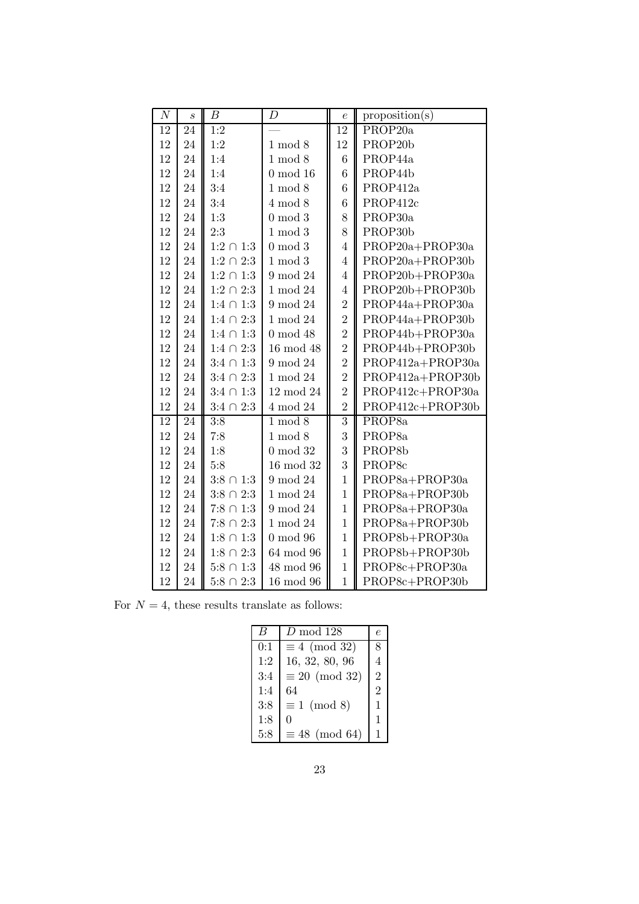| $\boldsymbol{N}$ | $\boldsymbol{s}$ | В                | D            | $\boldsymbol{e}$ | proposition(s)     |
|------------------|------------------|------------------|--------------|------------------|--------------------|
| 12               | 24               | 1:2              |              | 12               | PROP20a            |
| 12               | 24               | 1:2              | $1 \mod 8$   | 12               | PROP20b            |
| 12               | 24               | 1:4              | $1 \mod 8$   | 6                | PROP44a            |
| 12               | 24               | 1:4              | $0 \mod 16$  | $6\phantom{.}6$  | PROP44b            |
| 12               | 24               | 3:4              | $1 \mod 8$   | $\overline{6}$   | PROP412a           |
| 12               | 24               | 3:4              | $4 \mod 8$   | 6                | PROP412c           |
| 12               | 24               | 1:3              | $0 \mod 3$   | 8                | PROP30a            |
| 12               | 24               | 2:3              | $1 \mod 3$   | 8                | PROP30b            |
| 12               | 24               | $1:2 \cap 1:3$   | $0 \mod 3$   | $\overline{4}$   | PROP20a+PROP30a    |
| 12               | 24               | $1:2 \cap 2:3$   | $1 \mod 3$   | $\overline{4}$   | PROP20a+PROP30b    |
| 12               | 24               | $1:2 \cap 1:3$   | 9 mod 24     | $\overline{4}$   | PROP20b+PROP30a    |
| 12               | 24               | $1:2\;\cap\;2:3$ | 1 mod 24     | $\overline{4}$   | PROP20b+PROP30b    |
| 12               | 24               | $1:4 \cap 1:3$   | 9 mod 24     | $\overline{2}$   | PROP44a+PROP30a    |
| 12               | 24               | $1:4 \cap 2:3$   | $1 \bmod 24$ | $\overline{2}$   | PROP44a+PROP30b    |
| 12               | 24               | $1:4 \cap 1:3$   | $0 \mod 48$  | $\overline{2}$   | PROP44b+PROP30a    |
| 12               | 24               | $1:4 \cap 2:3$   | 16 mod 48    | $\overline{2}$   | PROP44b+PROP30b    |
| 12               | 24               | $3:4 \cap 1:3$   | 9 mod 24     | $\overline{2}$   | PROP412a+PROP30a   |
| $12\,$           | 24               | $3:4 \cap 2:3$   | $1 \bmod 24$ | $\overline{2}$   | PROP412a+PROP30b   |
| 12               | 24               | $3:4 \cap 1:3$   | 12 mod 24    | $\overline{2}$   | PROP412c+PROP30a   |
| 12               | 24               | $3:4 \cap 2:3$   | 4 mod 24     | $\overline{2}$   | PROP412c+PROP30b   |
| 12               | 24               | $\overline{3:8}$ | $1 \mod 8$   | $\overline{3}$   | PROP <sub>8a</sub> |
| 12               | 24               | 7:8              | $1 \mod 8$   | 3                | PROP <sub>8a</sub> |
| 12               | 24               | 1:8              | $0 \mod 32$  | 3                | PROP8b             |
| 12               | 24               | 5:8              | 16 mod 32    | 3                | PROP8c             |
| 12               | 24               | $3:8 \cap 1:3$   | 9 mod 24     | $\overline{1}$   | PROP8a+PROP30a     |
| 12               | 24               | $3:8 \cap 2:3$   | 1 mod 24     | $\mathbf{1}$     | PROP8a+PROP30b     |
| 12               | 24               | $7:8 \cap 1:3$   | 9 mod 24     | $\overline{1}$   | PROP8a+PROP30a     |
| 12               | 24               | $7:8 \cap 2:3$   | 1 mod 24     | $\overline{1}$   | PROP8a+PROP30b     |
| 12               | 24               | $1:8 \cap 1:3$   | $0 \mod 96$  | $\overline{1}$   | PROP8b+PROP30a     |
| 12               | 24               | $1:8 \cap 2:3$   | 64 mod 96    | $\overline{1}$   | PROP8b+PROP30b     |
| 12               | 24               | $5:8 \cap 1:3$   | 48 mod 96    | $\overline{1}$   | PROP8c+PROP30a     |
| 12               | 24               | $5:8 \cap 2:3$   | $16 \mod 96$ | $\overline{1}$   | PROP8c+PROP30b     |

For  $N = 4$ , these results translate as follows:

|     | D mod 128             | e              |
|-----|-----------------------|----------------|
| 0:1 | $\equiv 4 \pmod{32}$  | 8              |
| 1:2 | 16, 32, 80, 96        | 4              |
| 3:4 | $\equiv 20 \pmod{32}$ | $\overline{2}$ |
| 1:4 | 64                    | $\overline{2}$ |
| 3:8 | $\equiv 1 \pmod{8}$   | 1              |
| 1:8 | 0                     | 1              |
| 5:8 | $\equiv 48 \pmod{64}$ |                |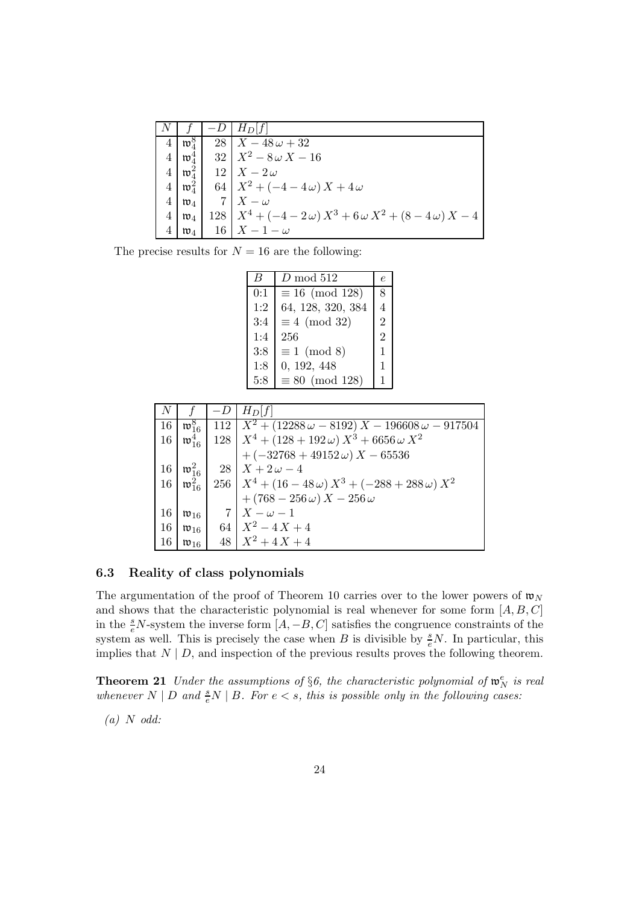|   |                    | $H_D[f]$                                                             |
|---|--------------------|----------------------------------------------------------------------|
| 4 | $\mathfrak{w}_4^8$ | $28 \mid X - 48\omega + 32$                                          |
| 4 | $\mathfrak{w}_4^4$ | $32\mid X^2-8\omega X-16$                                            |
| 4 | $\mathfrak{w}_4^2$ | $12 \mid X-2\omega$                                                  |
| 4 | $\mathfrak{w}_4^2$ | 64   $X^2 + (-4 - 4\omega) X + 4\omega$                              |
| 4 | $\mathfrak{w}_4$   | $7 \mid X - \omega$                                                  |
|   | $\mathfrak{w}_4$   | 128   $X^4 + (-4 - 2\omega) X^3 + 6\omega X^2 + (8 - 4\omega) X - 4$ |
|   | $\mathfrak{w}_4$   | $16$   $X-1-\omega$                                                  |

The precise results for  $N = 16$  are the following:

|     | $D \mod 512$           | e              |
|-----|------------------------|----------------|
| 0:1 | $\equiv 16 \pmod{128}$ | 8              |
| 1:2 | 64, 128, 320, 384      |                |
| 3:4 | $\equiv 4 \pmod{32}$   | $\overline{2}$ |
| 1:4 | 256                    | $\overline{2}$ |
| 3:8 | $\equiv 1 \pmod{8}$    | 1              |
| 1:8 | 0, 192, 448            | $\mathbf{1}$   |
| 5:8 | $\equiv 80 \pmod{128}$ |                |

|    |                         | $-I$ | $H_D f $                                                                                                                                                                |
|----|-------------------------|------|-------------------------------------------------------------------------------------------------------------------------------------------------------------------------|
| 16 |                         |      | $\mathfrak{w}_{16}^8$   112   $X^2 + (12288\omega - 8192) X - 196608\omega - 917504$                                                                                    |
| 16 | $\mathfrak{w}_{16}^{4}$ |      | 128   $X^4 + (128 + 192\omega) X^3 + 6656\omega X^2$                                                                                                                    |
|    |                         |      | $+(-32768+49152\omega) X - 65536$                                                                                                                                       |
| 16 |                         |      | $\mathfrak{w}_{16}^2$   28   $X + 2\omega - 4$                                                                                                                          |
|    |                         |      | $\begin{array}{c c c c c c} 16 & \varpi_{16}^2 & 256 & X^4 + (16 - 48\,\omega) X^3 + (-288 + 288\,\omega) X^2 \\ & & + (768 - 256\,\omega) X - 256\,\omega \end{array}$ |
|    |                         |      |                                                                                                                                                                         |
| 16 | $\mathfrak{w}_{16}$     |      | $7\mid X-\omega-1$                                                                                                                                                      |
| 16 |                         |      | $\mathfrak{w}_{16}$ 64 $X^2 - 4X + 4$                                                                                                                                   |
| 16 | $\mathfrak{w}_{16}$     |      | $48 \mid X^2 + 4X + 4$                                                                                                                                                  |

### 6.3 Reality of class polynomials

The argumentation of the proof of Theorem 10 carries over to the lower powers of  $\mathfrak{w}_N$ and shows that the characteristic polynomial is real whenever for some form  $[A, B, C]$ in the  $\frac{s}{e}N$ -system the inverse form  $[A, -B, C]$  satisfies the congruence constraints of the system as well. This is precisely the case when B is divisible by  $\frac{s}{e}N$ . In particular, this implies that  $N \mid D$ , and inspection of the previous results proves the following theorem.

**Theorem 21** Under the assumptions of §6, the characteristic polynomial of  $\mathfrak{w}_N^e$  is real whenever  $N \mid D$  and  $\frac{s}{e}N \mid B$ . For  $e < s$ , this is possible only in the following cases:

 $(a)$  N odd: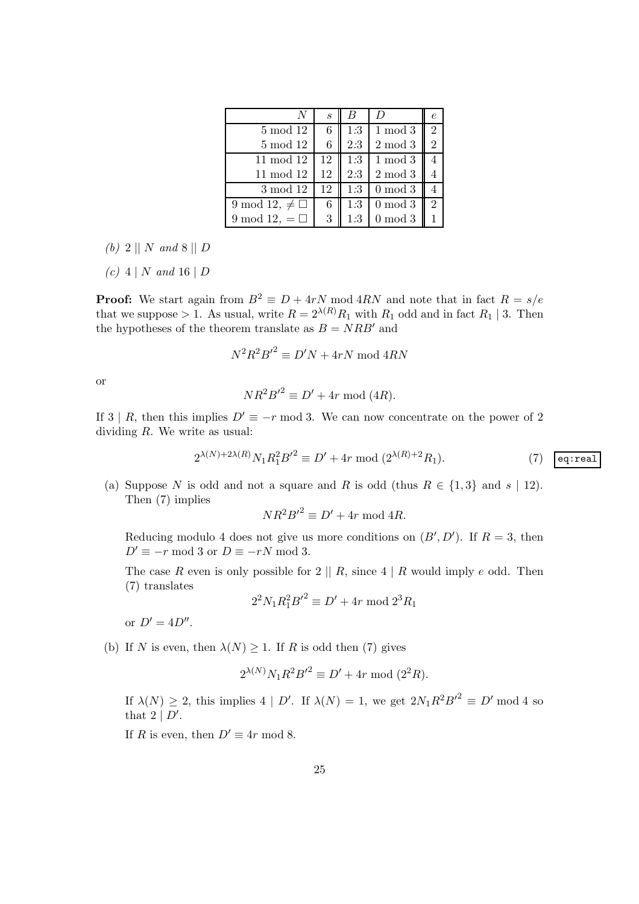|                          | $\mathcal{S}_{0}$ |     |            |                             |
|--------------------------|-------------------|-----|------------|-----------------------------|
| 5 mod 12                 | 6                 | 1:3 | $1 \mod 3$ | $\mathcal{D}_{\mathcal{L}}$ |
| $5 \mod 12$              | 6                 | 2:3 | $2 \mod 3$ | 2                           |
| $11 \mod 12$             | 12                | 1:3 | $1 \mod 3$ |                             |
| $11 \mod 12$             | 12                | 2:3 | $2 \mod 3$ |                             |
| 3 mod 12                 | 12                | 1:3 | $0 \mod 3$ |                             |
| 9 mod 12, $\neq \square$ | 6                 | 1:3 | $0 \mod 3$ | $\mathcal{D}_{\mathcal{L}}$ |
| 9 mod 12, $= \Box$       | 3                 | 1:3 | $0 \mod 3$ |                             |

- (b) 2 || N and 8 || D
- $(c) 4 | N$  and 16 | D

**Proof:** We start again from  $B^2 \equiv D + 4rN \mod 4RN$  and note that in fact  $R = s/e$ that we suppose > 1. As usual, write  $R = 2^{\lambda(R)} R_1$  with  $R_1$  odd and in fact  $R_1 \mid 3$ . Then the hypotheses of the theorem translate as  $B = NRB'$  and

$$
N^2R^2B'^2 \equiv D'N + 4rN \bmod 4RN
$$

or

$$
NR^2B'^2 \equiv D' + 4r \bmod (4R).
$$

If 3 | R, then this implies  $D' \equiv -r \mod 3$ . We can now concentrate on the power of 2 dividing  $R$ . We write as usual:

$$
2^{\lambda(N)+2\lambda(R)} N_1 R_1^2 B'^2 \equiv D' + 4r \bmod (2^{\lambda(R)+2} R_1).
$$
 (7) [eq:real]

(a) Suppose N is odd and not a square and R is odd (thus  $R \in \{1,3\}$  and  $s \mid 12$ ). Then (7) implies

$$
NR^2B'^2 \equiv D' + 4r \bmod 4R.
$$

Reducing modulo 4 does not give us more conditions on  $(B', D')$ . If  $R = 3$ , then  $D' \equiv -r \mod 3$  or  $D \equiv -rN \mod 3$ .

The case R even is only possible for  $2 \parallel R$ , since  $4 \mid R$  would imply e odd. Then (7) translates

$$
2^2 N_1 R_1^2 B'^2 \equiv D' + 4r \bmod 2^3 R_1
$$

or  $D' = 4D''$ .

(b) If N is even, then  $\lambda(N) \geq 1$ . If R is odd then (7) gives

$$
2^{\lambda(N)} N_1 R^2 B'^2 \equiv D' + 4r \bmod (2^2 R).
$$

If  $\lambda(N) \geq 2$ , this implies  $4 | D'$ . If  $\lambda(N) = 1$ , we get  $2N_1R^2B'^2 \equiv D' \mod 4$  so that  $2 \mid D'$ .

If R is even, then  $D' \equiv 4r \mod 8$ .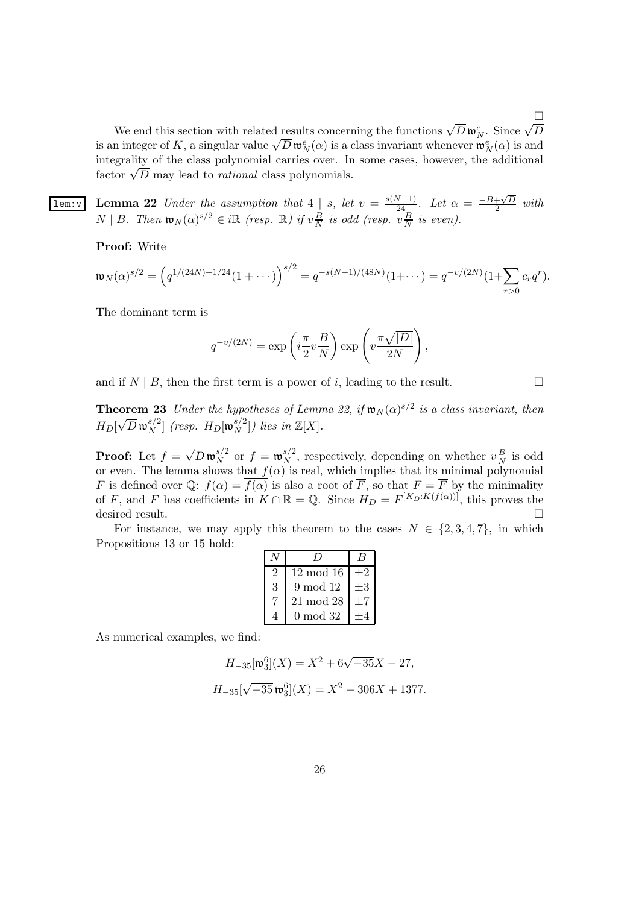We end this section with related results concerning the functions  $\sqrt{D} w_N^e$ . Since  $\sqrt{D}$ is an integer of K, a singular value  $\sqrt{D} \mathfrak{w}_N^{\rho}(\alpha)$  is a class invariant whenever  $\mathfrak{w}_N^{\rho}(\alpha)$  is and integrality of the class polynomial carries over. In some cases, however, the additional  $\frac{1}{100}$  factor  $\sqrt{D}$  may lead to *rational* class polynomials.

П

**lem:v** Lemma 22 Under the assumption that  $4 \mid s$ , let  $v = \frac{s(N-1)}{24}$ . Let  $\alpha = \frac{-B + \sqrt{D}}{2}$  $rac{+\sqrt{D}}{2}$  with  $N \mid B$ . Then  $\mathfrak{w}_N(\alpha)^{s/2} \in i\mathbb{R}$  (resp.  $\mathbb{R}$ ) if  $v\frac{B}{N}$  $\frac{B}{N}$  is odd (resp.  $v\frac{B}{N}$  $\frac{B}{N}$  is even).

Proof: Write

$$
\mathfrak{w}_N(\alpha)^{s/2} = \left(q^{1/(24N)-1/24}(1+\cdots)\right)^{s/2} = q^{-s(N-1)/(48N)}(1+\cdots) = q^{-v/(2N)}(1+\sum_{r>0}c_rq^r).
$$

The dominant term is

$$
q^{-v/(2N)} = \exp\left(i\frac{\pi}{2}v\frac{B}{N}\right)\exp\left(v\frac{\pi\sqrt{|D|}}{2N}\right),\,
$$

and if  $N \mid B$ , then the first term is a power of i, leading to the result.

**Theorem 23** Under the hypotheses of Lemma 22, if  $w_N(\alpha)^{s/2}$  is a class invariant, then  $H_D[\sqrt{D}\,\mathfrak{w}_N^{s/2}$  $\binom{s/2}{N}$  (resp.  $H_D[\mathfrak{w}_N^{s/2}]$  $\binom{s}{N}$ ) lies in  $\mathbb{Z}[X]$ .

**Proof:** Let  $f = \sqrt{D} \mathfrak{w}_N^{s/2}$  $\int_N^{s/2}$  or  $f = \mathfrak{w}_N^{s/2}$  $N^{\frac{s}{2}}$ , respectively, depending on whether  $v\frac{B}{N}$  $\frac{B}{N}$  is odd or even. The lemma shows that  $f(\alpha)$  is real, which implies that its minimal polynomial F is defined over Q:  $f(\alpha) = \overline{f(\alpha)}$  is also a root of  $\overline{F}$ , so that  $F = \overline{F}$  by the minimality of F, and F has coefficients in  $K \cap \mathbb{R} = \mathbb{Q}$ . Since  $H_D = F^{[K_D:K(f(\alpha))]}$ , this proves the desired result.

For instance, we may apply this theorem to the cases  $N \in \{2, 3, 4, 7\}$ , in which Propositions 13 or 15 hold:

|   | $12 \mod 16$ |      |
|---|--------------|------|
| 3 | 9 mod 12     | $+3$ |
|   | $21 \mod 28$ |      |
|   | $0 \mod 32$  |      |

As numerical examples, we find:

$$
H_{-35}[\mathfrak{w}_3^6](X) = X^2 + 6\sqrt{-35}X - 27,
$$
  

$$
H_{-35}[\sqrt{-35} \mathfrak{w}_3^6](X) = X^2 - 306X + 1377.
$$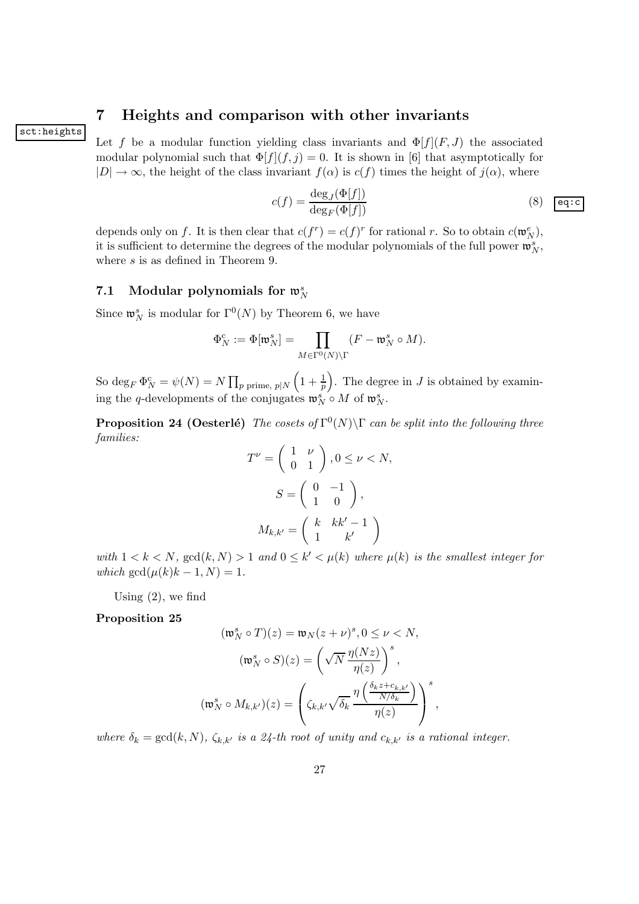## 7 Heights and comparison with other invariants

sct:heights

Let f be a modular function yielding class invariants and  $\Phi[f](F,J)$  the associated modular polynomial such that  $\Phi[f](f,j) = 0$ . It is shown in [6] that asymptotically for  $|D| \to \infty$ , the height of the class invariant  $f(\alpha)$  is  $c(f)$  times the height of  $j(\alpha)$ , where

$$
c(f) = \frac{\deg_J(\Phi[f])}{\deg_F(\Phi[f])}
$$
(8)  $\boxed{\text{eq:c}}$ 

depends only on f. It is then clear that  $c(f^r) = c(f)^r$  for rational r. So to obtain  $c(\mathfrak{w}_N^e)$ , it is sufficient to determine the degrees of the modular polynomials of the full power  $\mathfrak{w}_N^s$ , where  $s$  is as defined in Theorem 9.

# 7.1 Modular polynomials for  $\mathfrak{w}_N^s$

Since  $\mathfrak{w}_N^s$  is modular for  $\Gamma^0(N)$  by Theorem 6, we have

$$
\Phi_N^c := \Phi[\mathfrak{w}_N^s] = \prod_{M \in \Gamma^0(N) \backslash \Gamma} (F - \mathfrak{w}_N^s \circ M).
$$

So  $\deg_F \Phi_N^{\rm c} = \psi(N) = N \prod_{p \text{ prime, } p \mid N}$  $\left(1+\frac{1}{p}\right)$ . The degree in J is obtained by examining the q-developments of the conjugates  $\mathfrak{w}_N^s \circ M$  of  $\mathfrak{w}_N^s$ .

**Proposition 24 (Oesterlé)** The cosets of  $\Gamma^0(N) \backslash \Gamma$  can be split into the following three families:

$$
T^{\nu} = \begin{pmatrix} 1 & \nu \\ 0 & 1 \end{pmatrix}, 0 \le \nu < N,
$$
\n
$$
S = \begin{pmatrix} 0 & -1 \\ 1 & 0 \end{pmatrix},
$$
\n
$$
M_{k,k'} = \begin{pmatrix} k & kk' - 1 \\ 1 & k' \end{pmatrix}
$$

with  $1 < k < N$ ,  $gcd(k, N) > 1$  and  $0 \le k' < \mu(k)$  where  $\mu(k)$  is the smallest integer for which  $gcd(\mu(k)k - 1, N) = 1$ .

Using  $(2)$ , we find

### Proposition 25

$$
(\mathfrak{w}_N^s \circ T)(z) = \mathfrak{w}_N(z + \nu)^s, 0 \le \nu < N,
$$
\n
$$
(\mathfrak{w}_N^s \circ S)(z) = \left(\sqrt{N} \frac{\eta(Nz)}{\eta(z)}\right)^s,
$$
\n
$$
(\mathfrak{w}_N^s \circ M_{k,k'})(z) = \left(\zeta_{k,k'}\sqrt{\delta_k} \frac{\eta\left(\frac{\delta_k z + c_{k,k'}}{N/\delta_k}\right)}{\eta(z)}\right)^s,
$$

where  $\delta_k = \gcd(k, N)$ ,  $\zeta_{k,k'}$  is a 24-th root of unity and  $c_{k,k'}$  is a rational integer.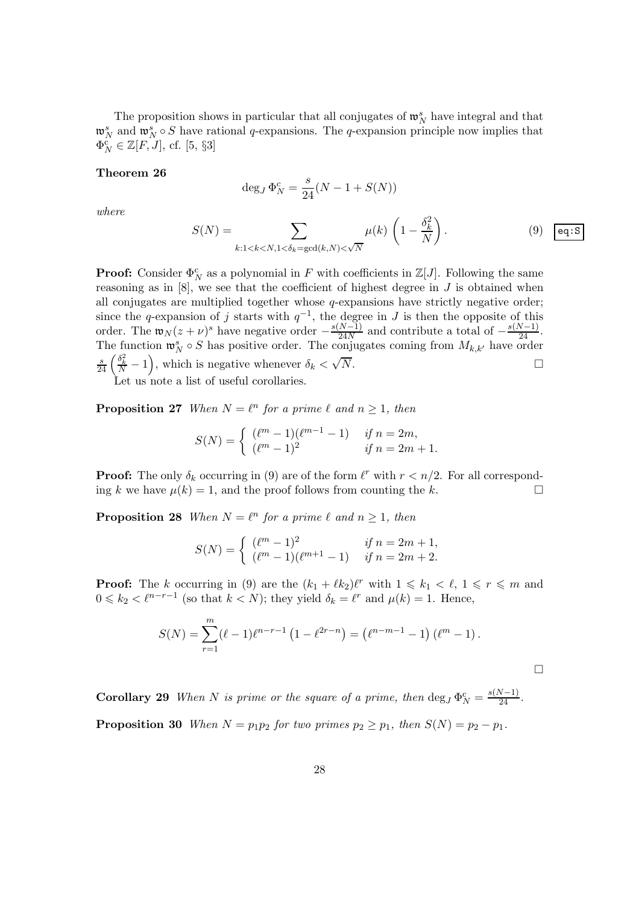The proposition shows in particular that all conjugates of  $\mathfrak{w}_N^s$  have integral and that  $\mathfrak{w}_N^s$  and  $\mathfrak{w}_N^s \circ S$  have rational q-expansions. The q-expansion principle now implies that  $\Phi_N^{\rm c}\in\mathbb{Z}[F,J],$  cf. [5, §3]

#### Theorem 26

$$
\deg_J \Phi_N^c = \frac{s}{24}(N-1+S(N))
$$

where

$$
S(N) = \sum_{k:1 < k < N, 1 < \delta_k = \gcd(k, N) < \sqrt{N}} \mu(k) \left( 1 - \frac{\delta_k^2}{N} \right). \tag{9}
$$

**Proof:** Consider  $\Phi_N^c$  as a polynomial in F with coefficients in  $\mathbb{Z}[J]$ . Following the same reasoning as in  $[8]$ , we see that the coefficient of highest degree in J is obtained when all conjugates are multiplied together whose  $q$ -expansions have strictly negative order; since the q-expansion of j starts with  $q^{-1}$ , the degree in J is then the opposite of this order. The  $\mathfrak{w}_N(z + \nu)^s$  have negative order  $-\frac{s(N-1)}{24N}$  and contribute a total of  $-\frac{s(N-1)}{24}$ . The function  $\mathfrak{w}_N^s \circ S$  has positive order. The conjugates coming from  $M_{k,k'}$  have order  $\frac{s}{24} \left( \frac{\delta_k^2}{N} - 1 \right)$ , which is negative whenever  $\delta_k < \sqrt{\frac{S}{N}}$  $N.$ 

Let us note a list of useful corollaries.

**Proposition 27** When  $N = \ell^n$  for a prime  $\ell$  and  $n \geq 1$ , then

$$
S(N) = \begin{cases} (\ell^m - 1)(\ell^{m-1} - 1) & \text{if } n = 2m, \\ (\ell^m - 1)^2 & \text{if } n = 2m + 1. \end{cases}
$$

**Proof:** The only  $\delta_k$  occurring in (9) are of the form  $\ell^r$  with  $r < n/2$ . For all corresponding k we have  $\mu(k) = 1$ , and the proof follows from counting the k.

**Proposition 28** When  $N = \ell^n$  for a prime  $\ell$  and  $n \geq 1$ , then

$$
S(N) = \begin{cases} (\ell^m - 1)^2 & \text{if } n = 2m + 1, \\ (\ell^m - 1)(\ell^{m+1} - 1) & \text{if } n = 2m + 2. \end{cases}
$$

**Proof:** The k occurring in (9) are the  $(k_1 + \ell k_2) \ell^r$  with  $1 \leq k_1 < \ell, 1 \leq r \leq m$  and  $0 \leq k_2 < \ell^{n-r-1}$  (so that  $k < N$ ); they yield  $\delta_k = \ell^r$  and  $\mu(k) = 1$ . Hence,

$$
S(N) = \sum_{r=1}^{m} (\ell - 1) \ell^{n-r-1} \left( 1 - \ell^{2r-n} \right) = (\ell^{n-m-1} - 1) (\ell^m - 1).
$$

**Corollary 29** When N is prime or the square of a prime, then  $\deg_J \Phi_N^c = \frac{s(N-1)}{24}$ . **Proposition 30** When  $N = p_1p_2$  for two primes  $p_2 \geq p_1$ , then  $S(N) = p_2 - p_1$ .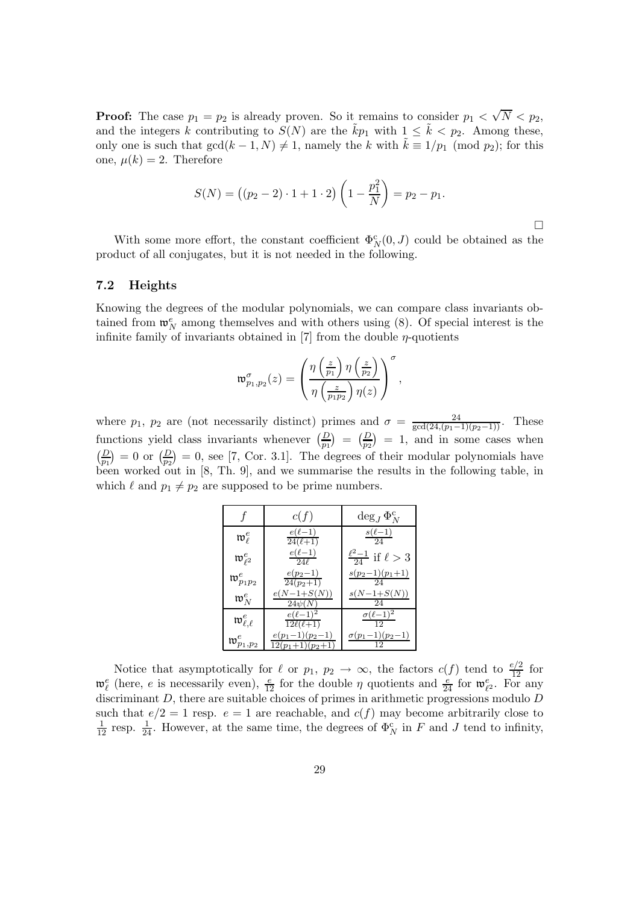**Proof:** The case  $p_1 = p_2$  is already proven. So it remains to consider  $p_1 < \sqrt{N} < p_2$ , and the integers k contributing to  $S(N)$  are the  $\tilde{k}p_1$  with  $1 \leq \tilde{k} \lt p_2$ . Among these, only one is such that  $gcd(k-1,N) \neq 1$ , namely the k with  $k \equiv 1/p_1 \pmod{p_2}$ ; for this one,  $\mu(k) = 2$ . Therefore

$$
S(N) = ((p_2 - 2) \cdot 1 + 1 \cdot 2) \left(1 - \frac{p_1^2}{N}\right) = p_2 - p_1.
$$

 $\Box$ 

With some more effort, the constant coefficient  $\Phi_N^c(0, J)$  could be obtained as the product of all conjugates, but it is not needed in the following.

#### 7.2 Heights

Knowing the degrees of the modular polynomials, we can compare class invariants obtained from  $\mathfrak{w}_N^e$  among themselves and with others using (8). Of special interest is the infinite family of invariants obtained in [7] from the double  $\eta$ -quotients

$$
\mathfrak{w}_{p_1,p_2}^{\sigma}(z)=\left(\frac{\eta\left(\frac{z}{p_1}\right)\eta\left(\frac{z}{p_2}\right)}{\eta\left(\frac{z}{p_1p_2}\right)\eta(z)}\right)^{\sigma},
$$

where  $p_1$ ,  $p_2$  are (not necessarily distinct) primes and  $\sigma = \frac{24}{\gcd(24, (p_1-1)(p_2-1))}$ . These functions yield class invariants whenever  $\left(\frac{D}{p_1}\right) = \left(\frac{D}{p_2}\right) = 1$ , and in some cases when  $\left(\frac{D}{p_1}\right) = 0$  or  $\left(\frac{D}{p_2}\right) = 0$ , see [7, Cor. 3.1]. The degrees of their modular polynomials have been worked out in [8, Th. 9], and we summarise the results in the following table, in which  $\ell$  and  $p_1 \neq p_2$  are supposed to be prime numbers.

|                                        | c(f)                                    | $\deg_J \Phi_N^{\rm c}$             |
|----------------------------------------|-----------------------------------------|-------------------------------------|
| $\mathfrak{w}^e_{\ell}$                | $e(\ell-1)$<br>$24(\ell+1)$             | $\frac{s(\ell-1)}{24}$              |
| $\mathfrak{w}_{\ell^2}^e$              | $e(\ell-1)$<br>24l                      | $\frac{\ell^2-1}{24}$ if $\ell > 3$ |
| $\mathfrak{w}_{p_1p_2}^e$              | $e(p_2-1)$<br>$24(p_2+1)$               | $s(p_2-1)(p_1+1)$                   |
| $\mathfrak{w}_N^e$                     | $e(N-1+S(N))$<br>$24\psi(N)$            | $s(N-1+S(N))$<br>24                 |
| $\mathfrak{w}^e_{\ell.\ell}$           | $e(\ell-1)^2$<br>$12\ell(\ell+1)$       | $\sigma(\ell-1)^2$                  |
| $\mathfrak{w}_{p_1,\underline{p_2}}^e$ | $e(p_1-1)(p_2-1)$<br>$12(p_1+1)(p_2+1)$ | $\sigma(p_1-1)(p_2-1)$              |

Notice that asymptotically for  $\ell$  or  $p_1, p_2 \to \infty$ , the factors  $c(f)$  tend to  $\frac{e/2}{12}$  for  $\mathfrak{w}_{\ell}^e$  (here, e is necessarily even),  $\frac{e}{12}$  for the double  $\eta$  quotients and  $\frac{e}{24}$  for  $\mathfrak{w}_{\ell^2}^e$ . For any discriminant  $D$ , there are suitable choices of primes in arithmetic progressions modulo  $D$ such that  $e/2 = 1$  resp.  $e = 1$  are reachable, and  $c(f)$  may become arbitrarily close to  $\frac{1}{12}$  resp.  $\frac{1}{24}$ . However, at the same time, the degrees of  $\Phi_N^c$  in F and J tend to infinity,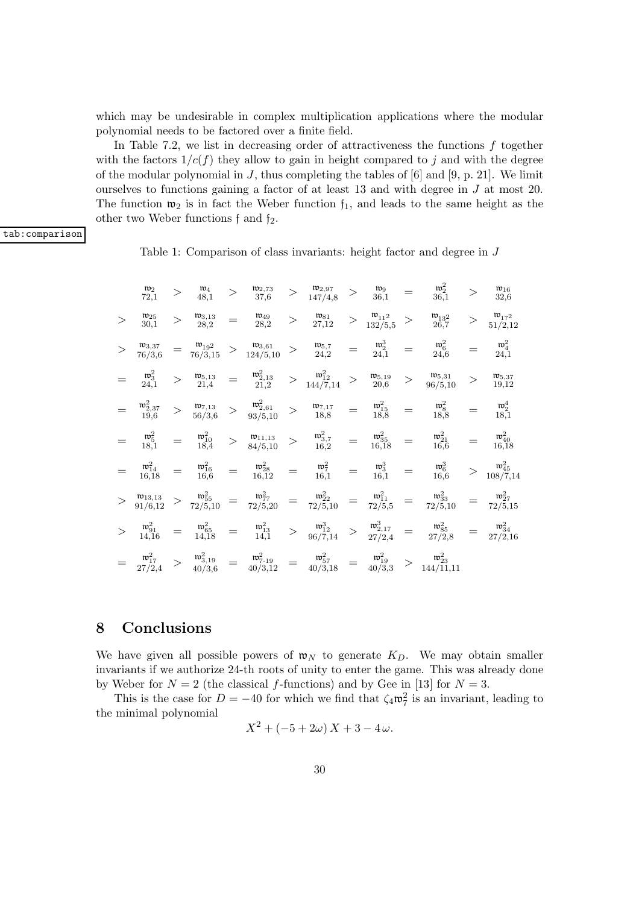which may be undesirable in complex multiplication applications where the modular polynomial needs to be factored over a finite field.

In Table 7.2, we list in decreasing order of attractiveness the functions  $f$  together with the factors  $1/c(f)$  they allow to gain in height compared to j and with the degree of the modular polynomial in  $J$ , thus completing the tables of  $[6]$  and  $[9, p. 21]$ . We limit ourselves to functions gaining a factor of at least 13 and with degree in  $J$  at most 20. The function  $\mathfrak{w}_2$  is in fact the Weber function  $\mathfrak{f}_1$ , and leads to the same height as the other two Weber functions  $f$  and  $f_2$ .

tab:comparison

Table 1: Comparison of class invariants: height factor and degree in J

|        | $\mathfrak{w}_2$<br>72,1          |     | $\mathfrak{w}_4$<br>48,1                                         | $\geq$          | $\mathfrak{w}_{2,73}$<br>37,6                                                    | >      | $\frac{\mathfrak{w}_{2,97}}{147/4,8}$                             | $>$               | $\mathfrak{w}_9$<br>36,1                                |          | $\mathfrak{w}_2^2$<br>36,1                                                                                                                        |        | $\mathfrak{w}_{16}$<br>32,6       |
|--------|-----------------------------------|-----|------------------------------------------------------------------|-----------------|----------------------------------------------------------------------------------|--------|-------------------------------------------------------------------|-------------------|---------------------------------------------------------|----------|---------------------------------------------------------------------------------------------------------------------------------------------------|--------|-----------------------------------|
| $\geq$ | $\mathfrak{w}_{25}$<br>30,1       |     | $\mathfrak{w}_{3,13}$<br>28,2                                    | $=$             | $\mathfrak{w}_{49}$<br>28,2                                                      | $\geq$ | $\mathfrak{w}_{81}$<br>27,12                                      |                   | $\mathfrak{w}_{11^2}$<br>$>$ $\frac{1}{132/5,5}$        | $\geq$   | $\mathfrak{w}_{13}^2$<br>26,7                                                                                                                     | $\geq$ | $\mathfrak{w}_{172}$<br>51/2,12   |
|        | $\mathfrak{w}_{3,37}$<br>76/3,6   |     | $=$ $\frac{\mathfrak{w}_{19^2}}{\mathfrak{m}^{19^2}}$<br>76/3,15 |                 | $>$ $\frac{\mathfrak{w}_{3,61}}{124/5,10}$ $>$ $\frac{\mathfrak{w}_{5,7}}{24,2}$ |        |                                                                   | $\quad =$         | $\mathfrak{w}_2^3$<br>24,1                              | $=$      | $\mathfrak{w}_6^2$<br>24,6                                                                                                                        |        | $\mathfrak{w}_4^2$<br>24,1        |
|        | $\mathfrak{w}_3^2$<br>24,1        |     | $\mathfrak{w}_{5,13}$<br>21,4                                    | $=$             | $\mathfrak{w}^2_{2,13}$<br>21,2                                                  |        | $> \begin{array}{c} \mathfrak{w}_{12}^2 \\ 144/7, 14 \end{array}$ | $\geq$            | $\mathfrak{w}_{5,19}$<br>20,6                           | >        | $\mathfrak{w}_{5,31}$<br>96/5,10                                                                                                                  |        | $\mathfrak{w}_{5,37}$<br>19,12    |
|        | $\mathfrak{w}_{2,37}^2$<br>19,6   |     | $\mathfrak{w}_{7,13}$<br>56/3,6                                  | >               | $\mathfrak{w}^2_{2,61}$<br>93/5,10                                               | $\geq$ | $\mathfrak{w}_{7,17}$<br>18,8                                     | $=$               | $\mathfrak{w}_{15}^2$<br>18,8                           | $=$      | $\mathfrak{w}_8^2$<br>18,8                                                                                                                        |        | $\mathfrak{w}_2^4$<br>18,1        |
|        | $\mathfrak{w}_5^2$<br>18,1        |     | $\frac{\mathfrak{w}^2_{10}}{18,4}$                               | $\geq$          | $\mathfrak{w}_{11,13}$<br>84/5,10                                                | >      | $\mathfrak{w}_{3,7}^2$<br>16,2                                    | $=$               | $\frac{\mathfrak{w}^2_{35}}{16,18}$                     | $=$      | $\mathfrak{w}_{21}^2$<br>16, 6                                                                                                                    |        | $\mathfrak{w}_{40}^2$<br>16,18    |
|        | $\mathfrak{w}_{14}^2$<br>16,18    | $=$ | $\mathfrak{w}_{16}^2$<br>16,6                                    | $\!\!\!=\!\!\!$ | $\begin{array}{c} \mathfrak{w}^2_{28}\\ 16{,}12 \end{array}$                     | $=$    | $\mathfrak{w}_7^2$<br>16,1                                        | $\!\!\!=\!\!\!\!$ | $\mathfrak{w}_3^3$<br>16,1                              | $=$      | $\mathfrak{w}_6^3$<br>16,6                                                                                                                        |        | $\mathfrak{w}_{45}^2$<br>108/7,14 |
|        | $\mathfrak{w}_{13,13}$<br>91/6,12 |     | $\mathfrak{w}_{55}^2$<br>72/5,10                                 |                 | $w_{77}^2$<br>$=$ $72/5,20$                                                      |        | $\mathfrak{w}_{22}^2$<br>$=$ $72/5,10$                            | $=$               | $\mathfrak{w}_{11}^2$<br>72/5,5                         |          | $\mathfrak{w}^2_{33}$<br>$=$ $\frac{w_{33}}{72/5,10}$                                                                                             |        | $\mathfrak{w}_{27}^2$<br>72/5,15  |
|        | $\mathfrak{w}_{91}^2$<br>14,16    | $=$ | $\mathfrak{w}_{65}^2$<br>14,18                                   | $=$             | $\mathfrak{w}_{13}^2$<br>14,1                                                    | >      | $\mathfrak{w}_{12}^3$<br>96/7,14                                  |                   | $>$ $\frac{\mathfrak{w}^3_{2,17}}{27^{12}}$ .<br>27/2,4 | $\equiv$ | $\mathfrak{w}_{85}^2$<br>27/2,8                                                                                                                   |        | $\mathfrak{w}_{34}^2$<br>27/2,16  |
|        | $\mathfrak{w}_{17}^2$<br>27/2,4   |     | $\mathfrak{w}^2_{3,19}$<br>40/3,6                                | $=$             | $\mathfrak{w}_{7.19}^2$<br>40/3,12                                               |        |                                                                   |                   |                                                         |          | $=\begin{array}{ccc} \mathfrak{w}_{57}^2 & = & \mathfrak{w}_{19}^2 & > & \mathfrak{w}_{23}^2 \\ 40/3,18 & = & 40/3,3 & > & 144/11,11 \end{array}$ |        |                                   |

## 8 Conclusions

We have given all possible powers of  $\mathfrak{w}_N$  to generate  $K_D$ . We may obtain smaller invariants if we authorize 24-th roots of unity to enter the game. This was already done by Weber for  $N = 2$  (the classical f-functions) and by Gee in [13] for  $N = 3$ .

This is the case for  $D = -40$  for which we find that  $\zeta_4 \mathfrak{w}_7^2$  is an invariant, leading to the minimal polynomial

$$
X^2 + (-5 + 2\omega) X + 3 - 4\omega.
$$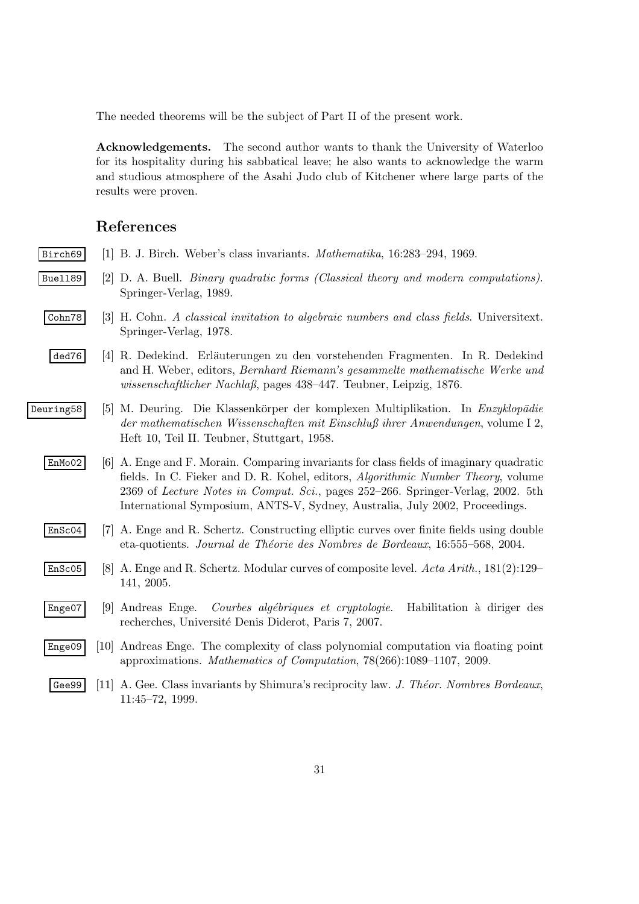The needed theorems will be the subject of Part II of the present work.

Acknowledgements. The second author wants to thank the University of Waterloo for its hospitality during his sabbatical leave; he also wants to acknowledge the warm and studious atmosphere of the Asahi Judo club of Kitchener where large parts of the results were proven.

### References

- Birch69 [1] B. J. Birch. Weber's class invariants. Mathematika, 16:283–294, 1969.
- Buell89 [2] D. A. Buell. Binary quadratic forms (Classical theory and modern computations). Springer-Verlag, 1989.
- $\lceil \text{Cohn78} \rceil$  [3] H. Cohn. A classical invitation to algebraic numbers and class fields. Universitext. Springer-Verlag, 1978.
	- ded76 [4] R. Dedekind. Erläuterungen zu den vorstehenden Fragmenten. In R. Dedekind and H. Weber, editors, Bernhard Riemann's gesammelte mathematische Werke und wissenschaftlicher Nachlaß, pages 438–447. Teubner, Leipzig, 1876.
- Deuring58 [5] M. Deuring. Die Klassenkörper der komplexen Multiplikation. In Enzyklopädie der mathematischen Wissenschaften mit Einschluß ihrer Anwendungen, volume I 2, Heft 10, Teil II. Teubner, Stuttgart, 1958.
	- EnMo02 [6] A. Enge and F. Morain. Comparing invariants for class fields of imaginary quadratic fields. In C. Fieker and D. R. Kohel, editors, Algorithmic Number Theory, volume 2369 of Lecture Notes in Comput. Sci., pages 252–266. Springer-Verlag, 2002. 5th International Symposium, ANTS-V, Sydney, Australia, July 2002, Proceedings.
	- EnSc04 [7] A. Enge and R. Schertz. Constructing elliptic curves over finite fields using double eta-quotients. Journal de Théorie des Nombres de Bordeaux, 16:555–568, 2004.
	- EnSc05 [8] A. Enge and R. Schertz. Modular curves of composite level. Acta Arith., 181(2):129– 141, 2005.
	- Enge07 [9] Andreas Enge. Courbes algébriques et cryptologie. Habilitation à diriger des recherches, Université Denis Diderot, Paris 7, 2007.
	- Enge09 [10] Andreas Enge. The complexity of class polynomial computation via floating point approximations. Mathematics of Computation, 78(266):1089–1107, 2009.
	- Gee99 [11] A. Gee. Class invariants by Shimura's reciprocity law. J. Theor. Nombres Bordeaux, 11:45–72, 1999.